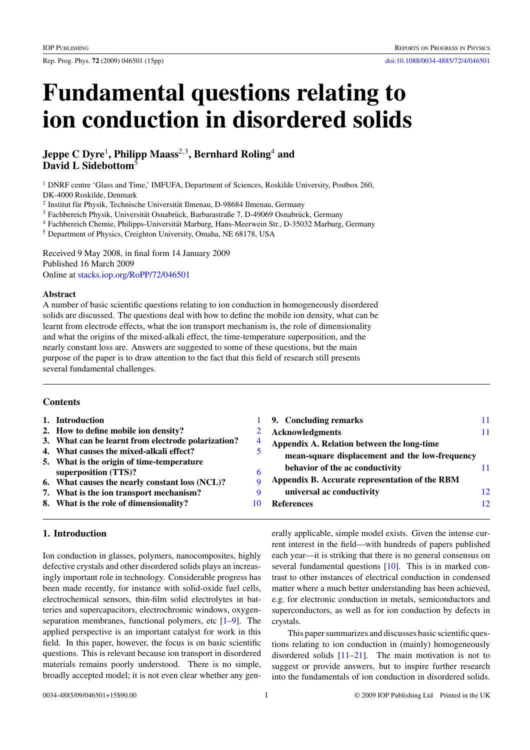# **Fundamental questions relating to ion conduction in disordered solids**

# **Jeppe C Dyre**<sup>1</sup>**, Philipp Maass**<sup>2</sup>*,*<sup>3</sup>**, Bernhard Roling**<sup>4</sup> **and David L Sidebottom**<sup>5</sup>

<sup>1</sup> DNRF centre 'Glass and Time,' IMFUFA, Department of Sciences, Roskilde University, Postbox 260, DK-4000 Roskilde, Denmark

 $2$  Institut für Physik, Technische Universität Ilmenau, D-98684 Ilmenau, Germany

<sup>3</sup> Fachbereich Physik, Universität Osnabrück, Barbarastraße 7, D-49069 Osnabrück, Germany

<sup>4</sup> Fachbereich Chemie, Philipps-Universitat Marburg, Hans-Meerwein Str., D-35032 Marburg, Germany ¨

<sup>5</sup> Department of Physics, Creighton University, Omaha, NE 68178, USA

Received 9 May 2008, in final form 14 January 2009 Published 16 March 2009 Online at [stacks.iop.org/RoPP/72/046501](http://stacks.iop.org/RoPP/72/046501)

#### **Abstract**

A number of basic scientific questions relating to ion conduction in homogeneously disordered solids are discussed. The questions deal with how to define the mobile ion density, what can be learnt from electrode effects, what the ion transport mechanism is, the role of dimensionality and what the origins of the mixed-alkali effect, the time-temperature superposition, and the nearly constant loss are. Answers are suggested to some of these questions, but the main purpose of the paper is to draw attention to the fact that this field of research still presents several fundamental challenges.

# **Contents**

| 1. Introduction<br>2. How to define mobile ion density?<br>3. What can be learnt from electrode polarization?<br>4. What causes the mixed-alkali effect?<br>5. What is the origin of time-temperature<br>superposition (TTS)? | 4<br>6      | 9. Concluding remarks<br><b>Acknowledgments</b><br>Appendix A. Relation between the long-time<br>mean-square displacement and the low-frequency<br>behavior of the ac conductivity | 11<br>11 |
|-------------------------------------------------------------------------------------------------------------------------------------------------------------------------------------------------------------------------------|-------------|------------------------------------------------------------------------------------------------------------------------------------------------------------------------------------|----------|
| 6. What causes the nearly constant loss (NCL)?<br>7. What is the ion transport mechanism?<br>8. What is the role of dimensionality?                                                                                           | Q<br>Q<br>Ю | Appendix B. Accurate representation of the RBM<br>universal ac conductivity<br><b>References</b>                                                                                   | 12<br>12 |

# **1. Introduction**

Ion conduction in glasses, polymers, nanocomposites, highly defective crystals and other disordered solids plays an increasingly important role in technology. Considerable progress has been made recently, for instance with solid-oxide fuel cells, electrochemical sensors, thin-film solid electrolytes in batteries and supercapacitors, electrochromic windows, oxygen-separation membranes, functional polymers, etc [\[1](#page-11-0)[–9\]](#page-12-0). The applied perspective is an important catalyst for work in this field. In this paper, however, the focus is on basic scientific questions. This is relevant because ion transport in disordered materials remains poorly understood. There is no simple, broadly accepted model; it is not even clear whether any gen-

erally applicable, simple model exists. Given the intense current interest in the field—with hundreds of papers published each year—it is striking that there is no general consensus on several fundamental questions [\[10\]](#page-12-0). This is in marked contrast to other instances of electrical conduction in condensed matter where a much better understanding has been achieved, e.g. for electronic conduction in metals, semiconductors and superconductors, as well as for ion conduction by defects in crystals.

This paper summarizes and discusses basic scientific questions relating to ion conduction in (mainly) homogeneously disordered solids  $[11–21]$ . The main motivation is not to suggest or provide answers, but to inspire further research into the fundamentals of ion conduction in disordered solids.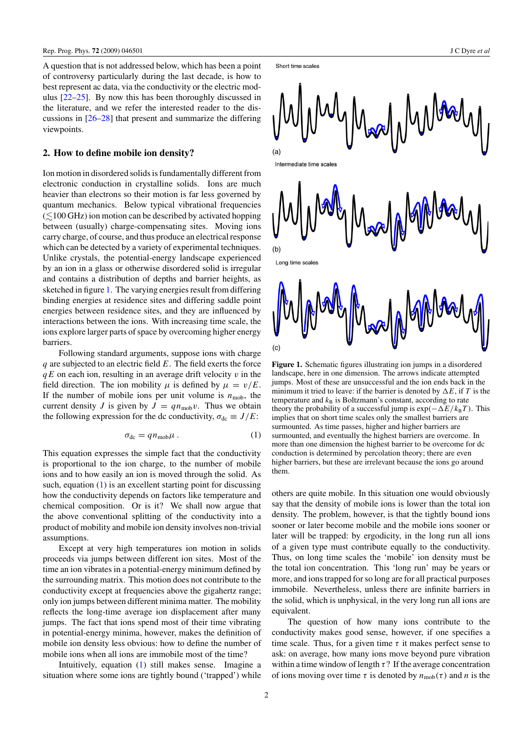<span id="page-1-0"></span>A question that is not addressed below, which has been a point of controversy particularly during the last decade, is how to best represent ac data, via the conductivity or the electric modulus  $[22-25]$ . By now this has been thoroughly discussed in the literature, and we refer the interested reader to the discussions in [\[26–28\]](#page-12-0) that present and summarize the differing viewpoints.

#### **2. How to define mobile ion density?**

Ion motion in disordered solids is fundamentally different from electronic conduction in crystalline solids. Ions are much heavier than electrons so their motion is far less governed by quantum mechanics. Below typical vibrational frequencies  $(\leq 100 \text{ GHz})$  ion motion can be described by activated hopping between (usually) charge-compensating sites. Moving ions carry charge, of course, and thus produce an electrical response which can be detected by a variety of experimental techniques. Unlike crystals, the potential-energy landscape experienced by an ion in a glass or otherwise disordered solid is irregular and contains a distribution of depths and barrier heights, as sketched in figure 1. The varying energies result from differing binding energies at residence sites and differing saddle point energies between residence sites, and they are influenced by interactions between the ions. With increasing time scale, the ions explore larger parts of space by overcoming higher energy barriers.

Following standard arguments, suppose ions with charge *q* are subjected to an electric field *E*. The field exerts the force *qE* on each ion, resulting in an average drift velocity *v* in the field direction. The ion mobility  $\mu$  is defined by  $\mu = v/E$ . If the number of mobile ions per unit volume is  $n_{\text{mob}}$ , the current density *J* is given by  $J = qn_{\text{mob}}v$ . Thus we obtain the following expression for the dc conductivity,  $\sigma_{dc} \equiv J/E$ :

$$
\sigma_{\rm dc} = q n_{\rm mob} \mu \,. \tag{1}
$$

This equation expresses the simple fact that the conductivity is proportional to the ion charge, to the number of mobile ions and to how easily an ion is moved through the solid. As such, equation (1) is an excellent starting point for discussing how the conductivity depends on factors like temperature and chemical composition. Or is it? We shall now argue that the above conventional splitting of the conductivity into a product of mobility and mobile ion density involves non-trivial assumptions.

Except at very high temperatures ion motion in solids proceeds via jumps between different ion sites. Most of the time an ion vibrates in a potential-energy minimum defined by the surrounding matrix. This motion does not contribute to the conductivity except at frequencies above the gigahertz range; only ion jumps between different minima matter. The mobility reflects the long-time average ion displacement after many jumps. The fact that ions spend most of their time vibrating in potential-energy minima, however, makes the definition of mobile ion density less obvious: how to define the number of mobile ions when all ions are immobile most of the time?

Intuitively, equation (1) still makes sense. Imagine a situation where some ions are tightly bound ('trapped') while



**Figure 1.** Schematic figures illustrating ion jumps in a disordered landscape, here in one dimension. The arrows indicate attempted jumps. Most of these are unsuccessful and the ion ends back in the minimum it tried to leave: if the barrier is denoted by  $\Delta E$ , if *T* is the temperature and  $k<sub>B</sub>$  is Boltzmann's constant, according to rate theory the probability of a successful jump is  $\exp(-\Delta E/k_B T)$ . This implies that on short time scales only the smallest barriers are surmounted. As time passes, higher and higher barriers are surmounted, and eventually the highest barriers are overcome. In more than one dimension the highest barrier to be overcome for dc conduction is determined by percolation theory; there are even higher barriers, but these are irrelevant because the ions go around them.

others are quite mobile. In this situation one would obviously say that the density of mobile ions is lower than the total ion density. The problem, however, is that the tightly bound ions sooner or later become mobile and the mobile ions sooner or later will be trapped: by ergodicity, in the long run all ions of a given type must contribute equally to the conductivity. Thus, on long time scales the 'mobile' ion density must be the total ion concentration. This 'long run' may be years or more, and ions trapped for so long are for all practical purposes immobile. Nevertheless, unless there are infinite barriers in the solid, which is unphysical, in the very long run all ions are equivalent.

The question of how many ions contribute to the conductivity makes good sense, however, if one specifies a time scale. Thus, for a given time  $\tau$  it makes perfect sense to ask: on average, how many ions move beyond pure vibration within a time window of length *τ* ? If the average concentration of ions moving over time  $\tau$  is denoted by  $n_{\text{mob}}(\tau)$  and *n* is the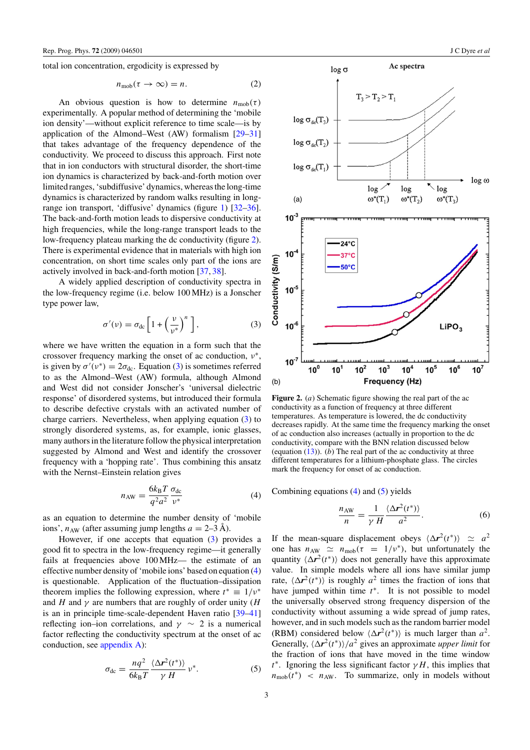<span id="page-2-0"></span>total ion concentration, ergodicity is expressed by

$$
n_{\rm mob}(\tau \to \infty) = n. \tag{2}
$$

An obvious question is how to determine  $n_{\text{mob}}(\tau)$ experimentally. A popular method of determining the 'mobile ion density'—without explicit reference to time scale—is by application of the Almond–West (AW) formalism [\[29–31\]](#page-12-0) that takes advantage of the frequency dependence of the conductivity. We proceed to discuss this approach. First note that in ion conductors with structural disorder, the short-time ion dynamics is characterized by back-and-forth motion over limited ranges, 'subdiffusive' dynamics, whereas the long-time dynamics is characterized by random walks resulting in longrange ion transport, 'diffusive' dynamics (figure [1\)](#page-1-0) [\[32–36\]](#page-12-0). The back-and-forth motion leads to dispersive conductivity at high frequencies, while the long-range transport leads to the low-frequency plateau marking the dc conductivity (figure 2). There is experimental evidence that in materials with high ion concentration, on short time scales only part of the ions are actively involved in back-and-forth motion [\[37,](#page-12-0) [38\]](#page-12-0).

A widely applied description of conductivity spectra in the low-frequency regime (i.e. below 100 MHz) is a Jonscher type power law,

$$
\sigma'(\nu) = \sigma_{\rm dc} \left[ 1 + \left(\frac{\nu}{\nu^*}\right)^n \right],\tag{3}
$$

where we have written the equation in a form such that the crossover frequency marking the onset of ac conduction, *ν*∗, is given by  $\sigma'(\nu^*) = 2\sigma_{dc}$ . Equation (3) is sometimes referred to as the Almond–West (AW) formula, although Almond and West did not consider Jonscher's 'universal dielectric response' of disordered systems, but introduced their formula to describe defective crystals with an activated number of charge carriers. Nevertheless, when applying equation (3) to strongly disordered systems, as, for example, ionic glasses, many authors in the literature follow the physical interpretation suggested by Almond and West and identify the crossover frequency with a 'hopping rate'. Thus combining this ansatz with the Nernst–Einstein relation gives

$$
n_{\rm AW} = \frac{6k_{\rm B}T}{q^2 a^2} \frac{\sigma_{\rm dc}}{v^*} \tag{4}
$$

as an equation to determine the number density of 'mobile ions',  $n_{AW}$  (after assuming jump lengths  $a = 2-3$  Å).

However, if one accepts that equation (3) provides a good fit to spectra in the low-frequency regime—it generally fails at frequencies above 100 MHz— the estimate of an effective number density of 'mobile ions' based on equation (4) is questionable. Application of the fluctuation–dissipation theorem implies the following expression, where  $t^* \equiv 1/v^*$ and *H* and  $\gamma$  are numbers that are roughly of order unity (*H* is an in principle time-scale-dependent Haven ratio [\[39–41\]](#page-12-0) reflecting ion–ion correlations, and  $\gamma \sim 2$  is a numerical factor reflecting the conductivity spectrum at the onset of ac conduction, see [appendix A\)](#page-10-0):

$$
\sigma_{\rm dc} = \frac{nq^2}{6k_{\rm B}T} \frac{\langle \Delta \mathbf{r}^2(t^*) \rangle}{\gamma H} v^*.
$$
 (5)



**Figure 2.** (*a*) Schematic figure showing the real part of the ac conductivity as a function of frequency at three different temperatures. As temperature is lowered, the dc conductivity decreases rapidly. At the same time the frequency marking the onset of ac conduction also increases (actually in proportion to the dc conductivity, compare with the BNN relation discussed below (equation [\(13\)](#page-5-0)). (*b*) The real part of the ac conductivity at three different temperatures for a lithium-phosphate glass. The circles mark the frequency for onset of ac conduction.

Combining equations  $(4)$  and  $(5)$  yields

$$
\frac{n_{AW}}{n} = \frac{1}{\gamma H} \frac{\langle \Delta \mathbf{r}^2(t^*) \rangle}{a^2}.
$$
 (6)

If the mean-square displacement obeys  $\langle \Delta r^2(t^*) \rangle \simeq a^2$ one has  $n_{AW} \simeq n_{mob}(\tau = 1/v^*)$ , but unfortunately the quantity  $\langle \Delta r^2(t^*) \rangle$  does not generally have this approximate value. In simple models where all ions have similar jump rate,  $\langle \Delta r^2(t^*) \rangle$  is roughly  $a^2$  times the fraction of ions that have jumped within time *t*∗. It is not possible to model the universally observed strong frequency dispersion of the conductivity without assuming a wide spread of jump rates, however, and in such models such as the random barrier model (RBM) considered below  $\langle \Delta r^2(t^*) \rangle$  is much larger than  $a^2$ . Generally,  $\langle \Delta r^2(t^*) \rangle / a^2$  gives an approximate *upper limit* for the fraction of ions that have moved in the time window *t*<sup>∗</sup>. Ignoring the less significant factor  $γ$  *H*, this implies that  $n_{\text{mob}}(t^*)$  <  $n_{\text{AW}}$ . To summarize, only in models without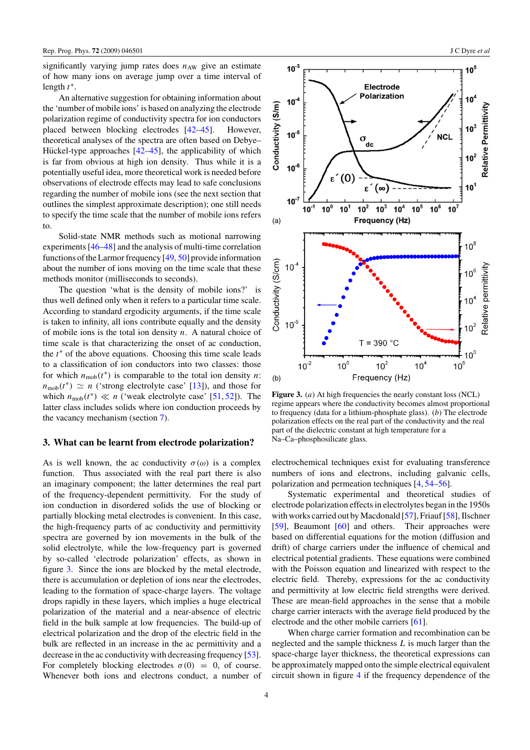<span id="page-3-0"></span>significantly varying jump rates does  $n_{AW}$  give an estimate of how many ions on average jump over a time interval of length *t*∗.

An alternative suggestion for obtaining information about the 'number of mobile ions' is based on analyzing the electrode polarization regime of conductivity spectra for ion conductors placed between blocking electrodes [\[42–45\]](#page-12-0). However, theoretical analyses of the spectra are often based on Debye– Hückel-type approaches  $[42-45]$ , the applicability of which is far from obvious at high ion density. Thus while it is a potentially useful idea, more theoretical work is needed before observations of electrode effects may lead to safe conclusions regarding the number of mobile ions (see the next section that outlines the simplest approximate description); one still needs to specify the time scale that the number of mobile ions refers to.

Solid-state NMR methods such as motional narrowing experiments [\[46–48\]](#page-12-0) and the analysis of multi-time correlation functions of the Larmor frequency [\[49,](#page-12-0) [50\]](#page-12-0) provide information about the number of ions moving on the time scale that these methods monitor (milliseconds to seconds).

The question 'what is the density of mobile ions?' thus well defined only when it refers to a particular time scale. According to standard ergodicity arguments, if the time scale is taken to infinity, all ions contribute equally and the density of mobile ions is the total ion density *n*. A natural choice of time scale is that characterizing the onset of ac conduction, the *t*<sup>∗</sup> of the above equations. Choosing this time scale leads to a classification of ion conductors into two classes: those for which  $n_{\text{mob}}(t^*)$  is comparable to the total ion density *n*:  $n_{\text{mob}}(t^*) \simeq n$  ('strong electrolyte case' [\[13\]](#page-12-0)), and those for which  $n_{\text{mob}}(t^*) \ll n$  ('weak electrolyte case' [\[51,](#page-12-0) [52\]](#page-12-0)). The latter class includes solids where ion conduction proceeds by the vacancy mechanism (section [7\)](#page-8-0).

#### **3. What can be learnt from electrode polarization?**

As is well known, the ac conductivity  $\sigma(\omega)$  is a complex function. Thus associated with the real part there is also an imaginary component; the latter determines the real part of the frequency-dependent permittivity. For the study of ion conduction in disordered solids the use of blocking or partially blocking metal electrodes is convenient. In this case, the high-frequency parts of ac conductivity and permittivity spectra are governed by ion movements in the bulk of the solid electrolyte, while the low-frequency part is governed by so-called 'electrode polarization' effects, as shown in figure 3. Since the ions are blocked by the metal electrode, there is accumulation or depletion of ions near the electrodes, leading to the formation of space-charge layers. The voltage drops rapidly in these layers, which implies a huge electrical polarization of the material and a near-absence of electric field in the bulk sample at low frequencies. The build-up of electrical polarization and the drop of the electric field in the bulk are reflected in an increase in the ac permittivity and a decrease in the ac conductivity with decreasing frequency [\[53\]](#page-12-0). For completely blocking electrodes  $\sigma(0) = 0$ , of course. Whenever both ions and electrons conduct, a number of



**Figure 3.** (*a*) At high frequencies the nearly constant loss (NCL) regime appears where the conductivity becomes almost proportional to frequency (data for a lithium-phosphate glass). (*b*) The electrode polarization effects on the real part of the conductivity and the real part of the dielectric constant at high temperature for a Na–Ca–phosphosilicate glass.

electrochemical techniques exist for evaluating transference numbers of ions and electrons, including galvanic cells, polarization and permeation techniques [\[4,](#page-12-0) [54–56\]](#page-12-0).

Systematic experimental and theoretical studies of electrode polarization effects in electrolytes began in the 1950s with works carried out by Macdonald [\[57\]](#page-12-0), Friauf [\[58\]](#page-12-0), Ilschner [\[59\]](#page-12-0), Beaumont [\[60\]](#page-12-0) and others. Their approaches were based on differential equations for the motion (diffusion and drift) of charge carriers under the influence of chemical and electrical potential gradients. These equations were combined with the Poisson equation and linearized with respect to the electric field. Thereby, expressions for the ac conductivity and permittivity at low electric field strengths were derived. These are mean-field approaches in the sense that a mobile charge carrier interacts with the average field produced by the electrode and the other mobile carriers [\[61\]](#page-12-0).

When charge carrier formation and recombination can be neglected and the sample thickness *L* is much larger than the space-charge layer thickness, the theoretical expressions can be approximately mapped onto the simple electrical equivalent circuit shown in figure [4](#page-4-0) if the frequency dependence of the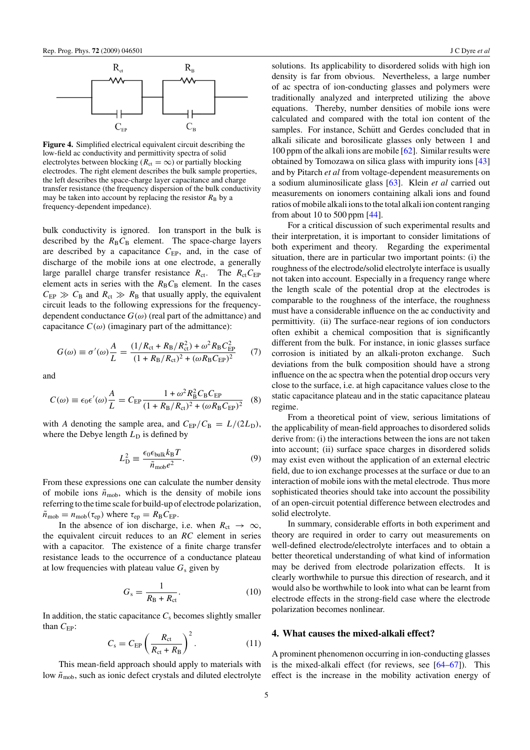<span id="page-4-0"></span>

**Figure 4.** Simplified electrical equivalent circuit describing the low-field ac conductivity and permittivity spectra of solid electrolytes between blocking ( $R_{ct} = \infty$ ) or partially blocking electrodes. The right element describes the bulk sample properties, the left describes the space-charge layer capacitance and charge transfer resistance (the frequency dispersion of the bulk conductivity may be taken into account by replacing the resistor  $R_B$  by a frequency-dependent impedance).

bulk conductivity is ignored. Ion transport in the bulk is described by the  $R_B C_B$  element. The space-charge layers are described by a capacitance  $C_{EP}$ , and, in the case of discharge of the mobile ions at one electrode, a generally large parallel charge transfer resistance  $R_{\text{ct}}$ . The  $R_{\text{ct}}C_{\text{EP}}$ element acts in series with the  $R_B C_B$  element. In the cases  $C_{\rm EP} \gg C_{\rm B}$  and  $R_{\rm ct} \gg R_{\rm B}$  that usually apply, the equivalent circuit leads to the following expressions for the frequencydependent conductance  $G(\omega)$  (real part of the admittance) and capacitance  $C(\omega)$  (imaginary part of the admittance):

$$
G(\omega) \equiv \sigma'(\omega) \frac{A}{L} = \frac{(1/R_{\rm ct} + R_{\rm B}/R_{\rm ct}^2) + \omega^2 R_{\rm B} C_{\rm EP}^2}{(1 + R_{\rm B}/R_{\rm ct})^2 + (\omega R_{\rm B} C_{\rm EP})^2}
$$
(7)

and

$$
C(\omega) \equiv \epsilon_0 \epsilon'(\omega) \frac{A}{L} = C_{\rm EP} \frac{1 + \omega^2 R_{\rm B}^2 C_{\rm B} C_{\rm EP}}{(1 + R_{\rm B}/R_{\rm ct})^2 + (\omega R_{\rm B} C_{\rm EP})^2}
$$
(8)

with *A* denoting the sample area, and  $C_{EP}/C_B = L/(2L_D)$ , where the Debye length  $L<sub>D</sub>$  is defined by

$$
L_{\rm D}^2 \equiv \frac{\epsilon_0 \epsilon_{\rm bulk} k_{\rm B} T}{\tilde{n}_{\rm mole} e^2}.
$$
 (9)

From these expressions one can calculate the number density of mobile ions  $\tilde{n}_{\text{mob}}$ , which is the density of mobile ions referring to the time scale for build-up of electrode polarization,  $\tilde{n}_{\text{mob}} = n_{\text{mob}}(\tau_{\text{ep}})$  where  $\tau_{\text{ep}} = R_B C_{\text{EP}}$ .

In the absence of ion discharge, i.e. when  $R_{ct} \rightarrow \infty$ , the equivalent circuit reduces to an *RC* element in series with a capacitor. The existence of a finite charge transfer resistance leads to the occurrence of a conductance plateau at low frequencies with plateau value  $G<sub>s</sub>$  given by

$$
G_{\rm s} = \frac{1}{R_{\rm B} + R_{\rm ct}}.\tag{10}
$$

In addition, the static capacitance  $C_s$  becomes slightly smaller than  $C_{EP}$ :

$$
C_{\rm s} = C_{\rm EP} \left( \frac{R_{\rm ct}}{R_{\rm ct} + R_{\rm B}} \right)^2.
$$
 (11)

This mean-field approach should apply to materials with low  $\tilde{n}_{\text{mob}}$ , such as ionic defect crystals and diluted electrolyte solutions. Its applicability to disordered solids with high ion density is far from obvious. Nevertheless, a large number of ac spectra of ion-conducting glasses and polymers were traditionally analyzed and interpreted utilizing the above equations. Thereby, number densities of mobile ions were calculated and compared with the total ion content of the samples. For instance, Schütt and Gerdes concluded that in alkali silicate and borosilicate glasses only between 1 and 100 ppm of the alkali ions are mobile [\[62\]](#page-12-0). Similar results were obtained by Tomozawa on silica glass with impurity ions [\[43\]](#page-12-0) and by Pitarch *et al* from voltage-dependent measurements on a sodium aluminosilicate glass [\[63\]](#page-12-0). Klein *et al* carried out measurements on ionomers containing alkali ions and found ratios of mobile alkali ions to the total alkali ion content ranging from about 10 to 500 ppm [\[44\]](#page-12-0).

For a critical discussion of such experimental results and their interpretation, it is important to consider limitations of both experiment and theory. Regarding the experimental situation, there are in particular two important points: (i) the roughness of the electrode/solid electrolyte interface is usually not taken into account. Especially in a frequency range where the length scale of the potential drop at the electrodes is comparable to the roughness of the interface, the roughness must have a considerable influence on the ac conductivity and permittivity. (ii) The surface-near regions of ion conductors often exhibit a chemical composition that is significantly different from the bulk. For instance, in ionic glasses surface corrosion is initiated by an alkali-proton exchange. Such deviations from the bulk composition should have a strong influence on the ac spectra when the potential drop occurs very close to the surface, i.e. at high capacitance values close to the static capacitance plateau and in the static capacitance plateau regime.

From a theoretical point of view, serious limitations of the applicability of mean-field approaches to disordered solids derive from: (i) the interactions between the ions are not taken into account; (ii) surface space charges in disordered solids may exist even without the application of an external electric field, due to ion exchange processes at the surface or due to an interaction of mobile ions with the metal electrode. Thus more sophisticated theories should take into account the possibility of an open-circuit potential difference between electrodes and solid electrolyte.

In summary, considerable efforts in both experiment and theory are required in order to carry out measurements on well-defined electrode/electrolyte interfaces and to obtain a better theoretical understanding of what kind of information may be derived from electrode polarization effects. It is clearly worthwhile to pursue this direction of research, and it would also be worthwhile to look into what can be learnt from electrode effects in the strong-field case where the electrode polarization becomes nonlinear.

#### **4. What causes the mixed-alkali effect?**

A prominent phenomenon occurring in ion-conducting glasses is the mixed-alkali effect (for reviews, see [\[64–67\]](#page-12-0)). This effect is the increase in the mobility activation energy of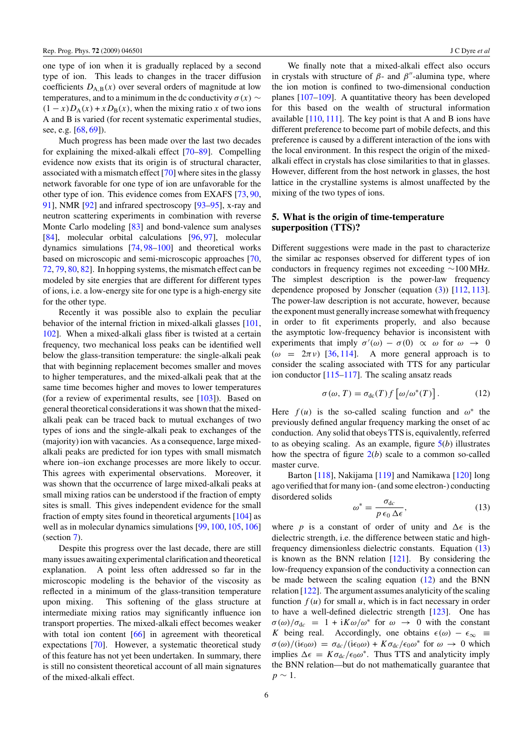<span id="page-5-0"></span>one type of ion when it is gradually replaced by a second type of ion. This leads to changes in the tracer diffusion coefficients  $D_{A,B}(x)$  over several orders of magnitude at low temperatures, and to a minimum in the dc conductivity  $\sigma(x) \sim$  $(1 - x)D_A(x) + xD_B(x)$ , when the mixing ratio *x* of two ions A and B is varied (for recent systematic experimental studies, see, e.g. [\[68,](#page-12-0) [69\]](#page-12-0)).

Much progress has been made over the last two decades for explaining the mixed-alkali effect [\[70–89\]](#page-12-0). Compelling evidence now exists that its origin is of structural character, associated with a mismatch effect [\[70\]](#page-12-0) where sites in the glassy network favorable for one type of ion are unfavorable for the other type of ion. This evidence comes from EXAFS [\[73,](#page-12-0) [90,](#page-12-0) [91\]](#page-12-0), NMR [\[92\]](#page-13-0) and infrared spectroscopy [\[93–95\]](#page-13-0), x-ray and neutron scattering experiments in combination with reverse Monte Carlo modeling [\[83\]](#page-12-0) and bond-valence sum analyses [\[84\]](#page-12-0), molecular orbital calculations [\[96,](#page-13-0) [97\]](#page-13-0), molecular dynamics simulations [\[74,](#page-12-0) [98–100\]](#page-13-0) and theoretical works based on microscopic and semi-microscopic approaches [\[70,](#page-12-0) [72,](#page-12-0) [79,](#page-12-0) [80,](#page-12-0) [82\]](#page-12-0). In hopping systems, the mismatch effect can be modeled by site energies that are different for different types of ions, i.e. a low-energy site for one type is a high-energy site for the other type.

Recently it was possible also to explain the peculiar behavior of the internal friction in mixed-alkali glasses [\[101,](#page-13-0) [102\]](#page-13-0). When a mixed-alkali glass fiber is twisted at a certain frequency, two mechanical loss peaks can be identified well below the glass-transition temperature: the single-alkali peak that with beginning replacement becomes smaller and moves to higher temperatures, and the mixed-alkali peak that at the same time becomes higher and moves to lower temperatures (for a review of experimental results, see [\[103\]](#page-13-0)). Based on general theoretical considerations it was shown that the mixedalkali peak can be traced back to mutual exchanges of two types of ions and the single-alkali peak to exchanges of the (majority) ion with vacancies. As a consequence, large mixedalkali peaks are predicted for ion types with small mismatch where ion–ion exchange processes are more likely to occur. This agrees with experimental observations. Moreover, it was shown that the occurrence of large mixed-alkali peaks at small mixing ratios can be understood if the fraction of empty sites is small. This gives independent evidence for the small fraction of empty sites found in theoretical arguments [\[104\]](#page-13-0) as well as in molecular dynamics simulations [\[99,](#page-13-0) [100,](#page-13-0) [105,](#page-13-0) [106\]](#page-13-0) (section [7\)](#page-8-0).

Despite this progress over the last decade, there are still many issues awaiting experimental clarification and theoretical explanation. A point less often addressed so far in the microscopic modeling is the behavior of the viscosity as reflected in a minimum of the glass-transition temperature upon mixing. This softening of the glass structure at intermediate mixing ratios may significantly influence ion transport properties. The mixed-alkali effect becomes weaker with total ion content [\[66\]](#page-12-0) in agreement with theoretical expectations [\[70\]](#page-12-0). However, a systematic theoretical study of this feature has not yet been undertaken. In summary, there is still no consistent theoretical account of all main signatures of the mixed-alkali effect.

We finally note that a mixed-alkali effect also occurs in crystals with structure of  $\beta$ - and  $\beta$ <sup>"</sup>-alumina type, where the ion motion is confined to two-dimensional conduction planes [\[107–109\]](#page-13-0). A quantitative theory has been developed for this based on the wealth of structural information available [\[110,](#page-13-0) [111\]](#page-13-0). The key point is that A and B ions have different preference to become part of mobile defects, and this preference is caused by a different interaction of the ions with the local environment. In this respect the origin of the mixedalkali effect in crystals has close similarities to that in glasses. However, different from the host network in glasses, the host lattice in the crystalline systems is almost unaffected by the mixing of the two types of ions.

# **5. What is the origin of time-temperature superposition (TTS)?**

Different suggestions were made in the past to characterize the similar ac responses observed for different types of ion conductors in frequency regimes not exceeding ∼100 MHz. The simplest description is the power-law frequency dependence proposed by Jonscher (equation [\(3\)](#page-2-0)) [\[112,](#page-13-0) [113\]](#page-13-0). The power-law description is not accurate, however, because the exponent must generally increase somewhat with frequency in order to fit experiments properly, and also because the asymptotic low-frequency behavior is inconsistent with experiments that imply  $\sigma'(\omega) - \sigma(0) \propto \omega$  for  $\omega \to 0$  $(\omega = 2\pi \nu)$  [\[36,](#page-12-0) [114\]](#page-13-0). A more general approach is to consider the scaling associated with TTS for any particular ion conductor [\[115–117\]](#page-13-0). The scaling ansatz reads

$$
\sigma(\omega, T) = \sigma_{\rm dc}(T) f\left[\omega/\omega^*(T)\right].\tag{12}
$$

Here  $f(u)$  is the so-called scaling function and  $\omega^*$  the previously defined angular frequency marking the onset of ac conduction. Any solid that obeys TTS is, equivalently, referred to as obeying scaling. As an example, figure [5\(](#page-6-0)*b*) illustrates how the spectra of figure [2\(](#page-2-0)*b*) scale to a common so-called master curve.

Barton [\[118\]](#page-13-0), Nakijama [\[119\]](#page-13-0) and Namikawa [\[120\]](#page-13-0) long ago verified that for many ion- (and some electron-) conducting disordered solids

$$
\omega^* = \frac{\sigma_{dc}}{p \epsilon_0 \Delta \epsilon},\tag{13}
$$

where p is a constant of order of unity and  $\Delta \epsilon$  is the dielectric strength, i.e. the difference between static and highfrequency dimensionless dielectric constants. Equation (13) is known as the BNN relation [\[121\]](#page-13-0). By considering the low-frequency expansion of the conductivity a connection can be made between the scaling equation (12) and the BNN relation [\[122\]](#page-13-0). The argument assumes analyticity of the scaling function  $f(u)$  for small  $u$ , which is in fact necessary in order to have a well-defined dielectric strength [\[123\]](#page-13-0). One has  $\sigma(\omega)/\sigma_{dc} = 1 + iK\omega/\omega^*$  for  $\omega \to 0$  with the constant *K* being real. Accordingly, one obtains  $\epsilon(\omega) - \epsilon_{\infty}$  $\sigma(\omega)/(\mathrm{i}\epsilon_0\omega) = \sigma_{\mathrm{d}c}/(\mathrm{i}\epsilon_0\omega) + K\sigma_{\mathrm{d}c}/\epsilon_0\omega^*$  for  $\omega \to 0$  which implies  $\Delta \epsilon = K \sigma_{dc} / \epsilon_0 \omega^*$ . Thus TTS and analyticity imply the BNN relation—but do not mathematically guarantee that *p* ∼ 1.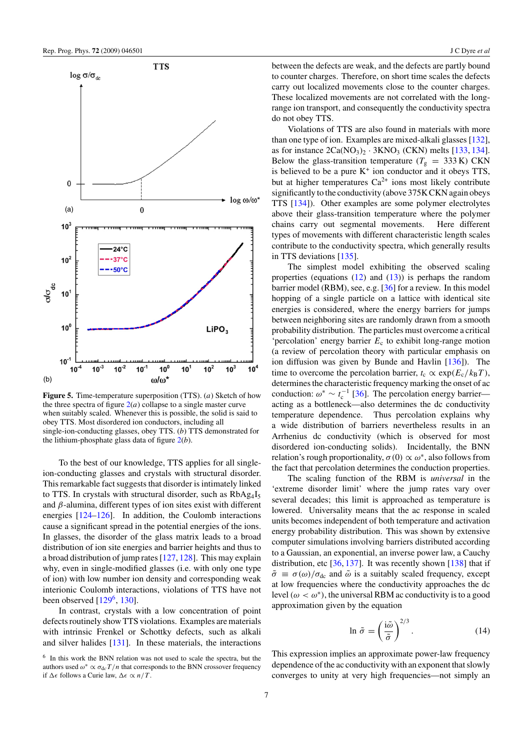<span id="page-6-0"></span>

**Figure 5.** Time-temperature superposition (TTS). (*a*) Sketch of how the three spectra of figure  $2(a)$  $2(a)$  collapse to a single master curve when suitably scaled. Whenever this is possible, the solid is said to obey TTS. Most disordered ion conductors, including all single-ion-conducting glasses, obey TTS. (*b*) TTS demonstrated for the lithium-phosphate glass data of figure [2\(](#page-2-0)*b*).

To the best of our knowledge, TTS applies for all singleion-conducting glasses and crystals with structural disorder. This remarkable fact suggests that disorder is intimately linked to TTS. In crystals with structural disorder, such as  $RbAg_4I_5$ and *β*-alumina, different types of ion sites exist with different energies [\[124–126\]](#page-13-0). In addition, the Coulomb interactions cause a significant spread in the potential energies of the ions. In glasses, the disorder of the glass matrix leads to a broad distribution of ion site energies and barrier heights and thus to a broad distribution of jump rates [\[127,](#page-13-0) [128\]](#page-13-0). This may explain why, even in single-modified glasses (i.e. with only one type of ion) with low number ion density and corresponding weak interionic Coulomb interactions, violations of TTS have not been observed  $[129^6, 130]$  $[129^6, 130]$ .

In contrast, crystals with a low concentration of point defects routinely show TTS violations. Examples are materials with intrinsic Frenkel or Schottky defects, such as alkali and silver halides [\[131\]](#page-13-0). In these materials, the interactions between the defects are weak, and the defects are partly bound to counter charges. Therefore, on short time scales the defects carry out localized movements close to the counter charges. These localized movements are not correlated with the longrange ion transport, and consequently the conductivity spectra do not obey TTS.

Violations of TTS are also found in materials with more than one type of ion. Examples are mixed-alkali glasses [\[132\]](#page-13-0), as for instance  $2Ca(NO<sub>3</sub>)<sub>2</sub> \cdot 3KNO<sub>3</sub>$  (CKN) melts [\[133,](#page-13-0) [134\]](#page-13-0). Below the glass-transition temperature ( $T_g$  = 333 K) CKN is believed to be a pure  $K^+$  ion conductor and it obeys TTS, but at higher temperatures  $Ca^{2+}$  ions most likely contribute significantly to the conductivity (above 375K CKN again obeys TTS [\[134\]](#page-13-0)). Other examples are some polymer electrolytes above their glass-transition temperature where the polymer chains carry out segmental movements. Here different types of movements with different characteristic length scales contribute to the conductivity spectra, which generally results in TTS deviations [\[135\]](#page-13-0).

The simplest model exhibiting the observed scaling properties (equations  $(12)$  and  $(13)$ ) is perhaps the random barrier model (RBM), see, e.g. [\[36\]](#page-12-0) for a review. In this model hopping of a single particle on a lattice with identical site energies is considered, where the energy barriers for jumps between neighboring sites are randomly drawn from a smooth probability distribution. The particles must overcome a critical 'percolation' energy barrier *E*<sup>c</sup> to exhibit long-range motion (a review of percolation theory with particular emphasis on ion diffusion was given by Bunde and Havlin [\[136\]](#page-13-0)). The time to overcome the percolation barrier,  $t_c \propto \exp(E_c/k_BT)$ , determines the characteristic frequency marking the onset of ac conduction:  $\omega^* \sim t_c^{-1}$  [\[36\]](#page-12-0). The percolation energy barrier acting as a bottleneck—also determines the dc conductivity temperature dependence. Thus percolation explains why a wide distribution of barriers nevertheless results in an Arrhenius dc conductivity (which is observed for most disordered ion-conducting solids). Incidentally, the BNN relation's rough proportionality,  $\sigma(0) \propto \omega^*$ , also follows from the fact that percolation determines the conduction properties.

The scaling function of the RBM is *universal* in the 'extreme disorder limit' where the jump rates vary over several decades; this limit is approached as temperature is lowered. Universality means that the ac response in scaled units becomes independent of both temperature and activation energy probability distribution. This was shown by extensive computer simulations involving barriers distributed according to a Gaussian, an exponential, an inverse power law, a Cauchy distribution, etc  $[36, 137]$  $[36, 137]$  $[36, 137]$ . It was recently shown  $[138]$  that if  $\tilde{\sigma} \equiv \sigma(\omega)/\sigma_{dc}$  and  $\tilde{\omega}$  is a suitably scaled frequency, except at low frequencies where the conductivity approaches the dc level ( $\omega < \omega^*$ ), the universal RBM ac conductivity is to a good approximation given by the equation

$$
\ln \tilde{\sigma} = \left(\frac{\mathrm{i}\tilde{\omega}}{\tilde{\sigma}}\right)^{2/3}.\tag{14}
$$

This expression implies an approximate power-law frequency dependence of the ac conductivity with an exponent that slowly converges to unity at very high frequencies—not simply an

<sup>6</sup> In this work the BNN relation was not used to scale the spectra, but the authors used  $\omega^* \propto \sigma_{\rm dc} T/n$  that corresponds to the BNN crossover frequency if  $\Delta \epsilon$  follows a Curie law,  $\Delta \epsilon \propto n/T$ .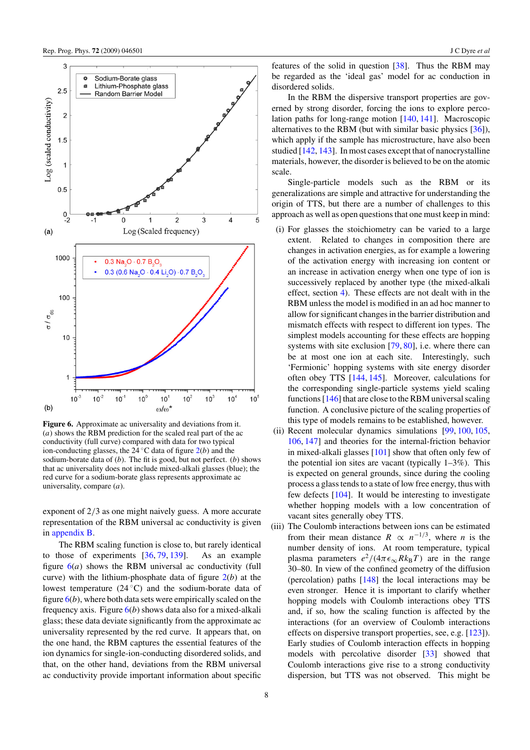<span id="page-7-0"></span>

**Figure 6.** Approximate ac universality and deviations from it. (*a*) shows the RBM prediction for the scaled real part of the ac conductivity (full curve) compared with data for two typical ion-conducting glasses, the 24 ◦C data of figure [2\(](#page-2-0)*b*) and the sodium-borate data of (*b*). The fit is good, but not perfect. (*b*) shows that ac universality does not include mixed-alkali glasses (blue); the red curve for a sodium-borate glass represents approximate ac universality, compare (*a*).

 $\omega/\omega^*$ 

 $(b)$ 

exponent of 2*/*3 as one might naively guess. A more accurate representation of the RBM universal ac conductivity is given in [appendix B.](#page-11-0)

The RBM scaling function is close to, but rarely identical to those of experiments [\[36,](#page-12-0) [79,](#page-12-0) [139\]](#page-13-0). As an example figure  $6(a)$  shows the RBM universal ac conductivity (full curve) with the lithium-phosphate data of figure [2\(](#page-2-0)*b*) at the lowest temperature  $(24 °C)$  and the sodium-borate data of figure 6(*b*), where both data sets were empirically scaled on the frequency axis. Figure 6(*b*) shows data also for a mixed-alkali glass; these data deviate significantly from the approximate ac universality represented by the red curve. It appears that, on the one hand, the RBM captures the essential features of the ion dynamics for single-ion-conducting disordered solids, and that, on the other hand, deviations from the RBM universal ac conductivity provide important information about specific features of the solid in question [\[38\]](#page-12-0). Thus the RBM may be regarded as the 'ideal gas' model for ac conduction in disordered solids.

In the RBM the dispersive transport properties are governed by strong disorder, forcing the ions to explore percolation paths for long-range motion [\[140,](#page-13-0) [141\]](#page-13-0). Macroscopic alternatives to the RBM (but with similar basic physics [\[36\]](#page-12-0)), which apply if the sample has microstructure, have also been studied [\[142,](#page-13-0) [143\]](#page-13-0). In most cases except that of nanocrystalline materials, however, the disorder is believed to be on the atomic scale.

Single-particle models such as the RBM or its generalizations are simple and attractive for understanding the origin of TTS, but there are a number of challenges to this approach as well as open questions that one must keep in mind:

- (i) For glasses the stoichiometry can be varied to a large extent. Related to changes in composition there are changes in activation energies, as for example a lowering of the activation energy with increasing ion content or an increase in activation energy when one type of ion is successively replaced by another type (the mixed-alkali effect, section [4\)](#page-4-0). These effects are not dealt with in the RBM unless the model is modified in an ad hoc manner to allow for significant changes in the barrier distribution and mismatch effects with respect to different ion types. The simplest models accounting for these effects are hopping systems with site exclusion [\[79,](#page-12-0) [80\]](#page-12-0), i.e. where there can be at most one ion at each site. Interestingly, such 'Fermionic' hopping systems with site energy disorder often obey TTS [\[144,](#page-13-0) [145\]](#page-13-0). Moreover, calculations for the corresponding single-particle systems yield scaling functions [\[146\]](#page-13-0) that are close to the RBM universal scaling function. A conclusive picture of the scaling properties of this type of models remains to be established, however.
- (ii) Recent molecular dynamics simulations [\[99,](#page-13-0) [100,](#page-13-0) [105,](#page-13-0) [106,](#page-13-0) [147\]](#page-13-0) and theories for the internal-friction behavior in mixed-alkali glasses [\[101\]](#page-13-0) show that often only few of the potential ion sites are vacant (typically  $1-3\%$ ). This is expected on general grounds, since during the cooling process a glass tends to a state of low free energy, thus with few defects [\[104\]](#page-13-0). It would be interesting to investigate whether hopping models with a low concentration of vacant sites generally obey TTS.
- (iii) The Coulomb interactions between ions can be estimated from their mean distance  $R \propto n^{-1/3}$ , where *n* is the number density of ions. At room temperature, typical plasma parameters  $e^2/(4\pi\epsilon_\infty Rk_BT)$  are in the range 30–80. In view of the confined geometry of the diffusion (percolation) paths  $[148]$  the local interactions may be even stronger. Hence it is important to clarify whether hopping models with Coulomb interactions obey TTS and, if so, how the scaling function is affected by the interactions (for an overview of Coulomb interactions effects on dispersive transport properties, see, e.g. [\[123\]](#page-13-0)). Early studies of Coulomb interaction effects in hopping models with percolative disorder [\[33\]](#page-12-0) showed that Coulomb interactions give rise to a strong conductivity dispersion, but TTS was not observed. This might be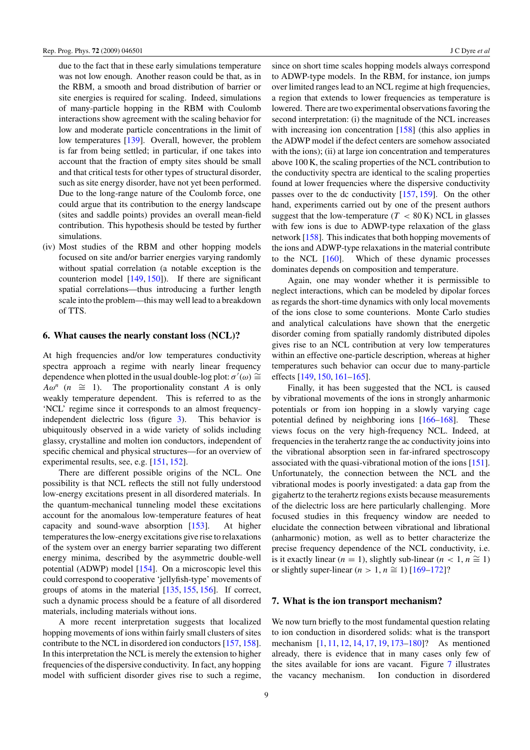<span id="page-8-0"></span>due to the fact that in these early simulations temperature was not low enough. Another reason could be that, as in the RBM, a smooth and broad distribution of barrier or site energies is required for scaling. Indeed, simulations of many-particle hopping in the RBM with Coulomb interactions show agreement with the scaling behavior for low and moderate particle concentrations in the limit of low temperatures [\[139\]](#page-13-0). Overall, however, the problem is far from being settled; in particular, if one takes into account that the fraction of empty sites should be small and that critical tests for other types of structural disorder, such as site energy disorder, have not yet been performed. Due to the long-range nature of the Coulomb force, one could argue that its contribution to the energy landscape (sites and saddle points) provides an overall mean-field contribution. This hypothesis should be tested by further simulations.

(iv) Most studies of the RBM and other hopping models focused on site and/or barrier energies varying randomly without spatial correlation (a notable exception is the counterion model [\[149,](#page-13-0) [150\]](#page-13-0)). If there are significant spatial correlations—thus introducing a further length scale into the problem—this may well lead to a breakdown of TTS.

#### **6. What causes the nearly constant loss (NCL)?**

At high frequencies and/or low temperatures conductivity spectra approach a regime with nearly linear frequency dependence when plotted in the usual double-log plot:  $\sigma'(\omega) \cong$  $A\omega^n$  (*n*  $\cong$  1). The proportionality constant *A* is only weakly temperature dependent. This is referred to as the 'NCL' regime since it corresponds to an almost frequencyindependent dielectric loss (figure [3\)](#page-3-0). This behavior is ubiquitously observed in a wide variety of solids including glassy, crystalline and molten ion conductors, independent of specific chemical and physical structures—for an overview of experimental results, see, e.g. [\[151,](#page-13-0) [152\]](#page-13-0).

There are different possible origins of the NCL. One possibility is that NCL reflects the still not fully understood low-energy excitations present in all disordered materials. In the quantum-mechanical tunneling model these excitations account for the anomalous low-temperature features of heat capacity and sound-wave absorption [\[153\]](#page-13-0). At higher temperatures the low-energy excitations give rise to relaxations of the system over an energy barrier separating two different energy minima, described by the asymmetric double-well potential (ADWP) model [\[154\]](#page-13-0). On a microscopic level this could correspond to cooperative 'jellyfish-type' movements of groups of atoms in the material [\[135,](#page-13-0) [155,](#page-13-0) [156\]](#page-13-0). If correct, such a dynamic process should be a feature of all disordered materials, including materials without ions.

A more recent interpretation suggests that localized hopping movements of ions within fairly small clusters of sites contribute to the NCL in disordered ion conductors [\[157,](#page-13-0) [158\]](#page-13-0). In this interpretation the NCL is merely the extension to higher frequencies of the dispersive conductivity. In fact, any hopping model with sufficient disorder gives rise to such a regime, since on short time scales hopping models always correspond to ADWP-type models. In the RBM, for instance, ion jumps over limited ranges lead to an NCL regime at high frequencies, a region that extends to lower frequencies as temperature is lowered. There are two experimental observations favoring the second interpretation: (i) the magnitude of the NCL increases with increasing ion concentration [\[158\]](#page-13-0) (this also applies in the ADWP model if the defect centers are somehow associated with the ions); (ii) at large ion concentration and temperatures above 100 K, the scaling properties of the NCL contribution to the conductivity spectra are identical to the scaling properties found at lower frequencies where the dispersive conductivity passes over to the dc conductivity [\[157,](#page-13-0) [159\]](#page-13-0). On the other hand, experiments carried out by one of the present authors suggest that the low-temperature  $(T < 80 \text{ K})$  NCL in glasses with few ions is due to ADWP-type relaxation of the glass network [\[158\]](#page-13-0). This indicates that both hopping movements of the ions and ADWP-type relaxations in the material contribute to the NCL [\[160\]](#page-13-0). Which of these dynamic processes dominates depends on composition and temperature.

Again, one may wonder whether it is permissible to neglect interactions, which can be modeled by dipolar forces as regards the short-time dynamics with only local movements of the ions close to some counterions. Monte Carlo studies and analytical calculations have shown that the energetic disorder coming from spatially randomly distributed dipoles gives rise to an NCL contribution at very low temperatures within an effective one-particle description, whereas at higher temperatures such behavior can occur due to many-particle effects [\[149,](#page-13-0) [150,](#page-13-0) [161–165\]](#page-13-0).

Finally, it has been suggested that the NCL is caused by vibrational movements of the ions in strongly anharmonic potentials or from ion hopping in a slowly varying cage potential defined by neighboring ions [\[166–168\]](#page-13-0). These views focus on the very high-frequency NCL. Indeed, at frequencies in the terahertz range the ac conductivity joins into the vibrational absorption seen in far-infrared spectroscopy associated with the quasi-vibrational motion of the ions [\[151\]](#page-13-0). Unfortunately, the connection between the NCL and the vibrational modes is poorly investigated: a data gap from the gigahertz to the terahertz regions exists because measurements of the dielectric loss are here particularly challenging. More focused studies in this frequency window are needed to elucidate the connection between vibrational and librational (anharmonic) motion, as well as to better characterize the precise frequency dependence of the NCL conductivity, i.e. is it exactly linear ( $n = 1$ ), slightly sub-linear ( $n < 1$ ,  $n \approx 1$ ) or slightly super-linear  $(n > 1, n \approx 1)$  [\[169–172\]](#page-13-0)?

#### **7. What is the ion transport mechanism?**

We now turn briefly to the most fundamental question relating to ion conduction in disordered solids: what is the transport mechanism [\[1,](#page-11-0) [11,](#page-12-0) [12,](#page-12-0) [14,](#page-12-0) [17,](#page-12-0) [19,](#page-12-0) [173–180\]](#page-13-0)? As mentioned already, there is evidence that in many cases only few of the sites available for ions are vacant. Figure [7](#page-9-0) illustrates the vacancy mechanism. Ion conduction in disordered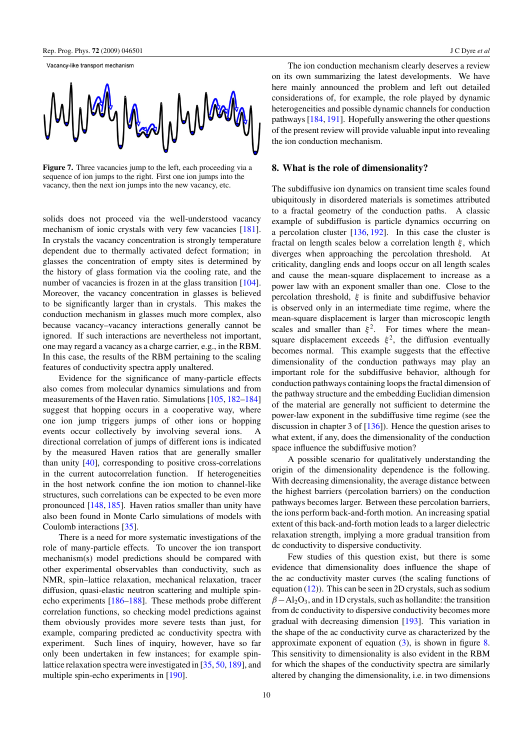<span id="page-9-0"></span>Vacancy-like transport mechanism



Figure 7. Three vacancies jump to the left, each proceeding via a sequence of ion jumps to the right. First one ion jumps into the vacancy, then the next ion jumps into the new vacancy, etc.

solids does not proceed via the well-understood vacancy mechanism of ionic crystals with very few vacancies [\[181\]](#page-14-0). In crystals the vacancy concentration is strongly temperature dependent due to thermally activated defect formation; in glasses the concentration of empty sites is determined by the history of glass formation via the cooling rate, and the number of vacancies is frozen in at the glass transition [\[104\]](#page-13-0). Moreover, the vacancy concentration in glasses is believed to be significantly larger than in crystals. This makes the conduction mechanism in glasses much more complex, also because vacancy–vacancy interactions generally cannot be ignored. If such interactions are nevertheless not important, one may regard a vacancy as a charge carrier, e.g., in the RBM. In this case, the results of the RBM pertaining to the scaling features of conductivity spectra apply unaltered.

Evidence for the significance of many-particle effects also comes from molecular dynamics simulations and from measurements of the Haven ratio. Simulations [\[105,](#page-13-0) [182–184\]](#page-14-0) suggest that hopping occurs in a cooperative way, where one ion jump triggers jumps of other ions or hopping events occur collectively by involving several ions. A directional correlation of jumps of different ions is indicated by the measured Haven ratios that are generally smaller than unity [\[40\]](#page-12-0), corresponding to positive cross-correlations in the current autocorrelation function. If heterogeneities in the host network confine the ion motion to channel-like structures, such correlations can be expected to be even more pronounced [\[148,](#page-13-0) [185\]](#page-14-0). Haven ratios smaller than unity have also been found in Monte Carlo simulations of models with Coulomb interactions [\[35\]](#page-12-0).

There is a need for more systematic investigations of the role of many-particle effects. To uncover the ion transport mechanism(s) model predictions should be compared with other experimental observables than conductivity, such as NMR, spin–lattice relaxation, mechanical relaxation, tracer diffusion, quasi-elastic neutron scattering and multiple spinecho experiments [\[186–188\]](#page-14-0). These methods probe different correlation functions, so checking model predictions against them obviously provides more severe tests than just, for example, comparing predicted ac conductivity spectra with experiment. Such lines of inquiry, however, have so far only been undertaken in few instances; for example spinlattice relaxation spectra were investigated in [\[35,](#page-12-0) [50,](#page-12-0) [189\]](#page-14-0), and multiple spin-echo experiments in [\[190\]](#page-14-0).

The ion conduction mechanism clearly deserves a review on its own summarizing the latest developments. We have here mainly announced the problem and left out detailed considerations of, for example, the role played by dynamic heterogeneities and possible dynamic channels for conduction pathways [\[184,](#page-14-0) [191\]](#page-14-0). Hopefully answering the other questions of the present review will provide valuable input into revealing the ion conduction mechanism.

### **8. What is the role of dimensionality?**

The subdiffusive ion dynamics on transient time scales found ubiquitously in disordered materials is sometimes attributed to a fractal geometry of the conduction paths. A classic example of subdiffusion is particle dynamics occurring on a percolation cluster [\[136,](#page-13-0) [192\]](#page-14-0). In this case the cluster is fractal on length scales below a correlation length *ξ* , which diverges when approaching the percolation threshold. At criticality, dangling ends and loops occur on all length scales and cause the mean-square displacement to increase as a power law with an exponent smaller than one. Close to the percolation threshold, *ξ* is finite and subdiffusive behavior is observed only in an intermediate time regime, where the mean-square displacement is larger than microscopic length scales and smaller than  $\xi^2$ . For times where the meansquare displacement exceeds  $\xi^2$ , the diffusion eventually becomes normal. This example suggests that the effective dimensionality of the conduction pathways may play an important role for the subdiffusive behavior, although for conduction pathways containing loops the fractal dimension of the pathway structure and the embedding Euclidian dimension of the material are generally not sufficient to determine the power-law exponent in the subdiffusive time regime (see the discussion in chapter 3 of [\[136\]](#page-13-0)). Hence the question arises to what extent, if any, does the dimensionality of the conduction space influence the subdiffusive motion?

A possible scenario for qualitatively understanding the origin of the dimensionality dependence is the following. With decreasing dimensionality, the average distance between the highest barriers (percolation barriers) on the conduction pathways becomes larger. Between these percolation barriers, the ions perform back-and-forth motion. An increasing spatial extent of this back-and-forth motion leads to a larger dielectric relaxation strength, implying a more gradual transition from dc conductivity to dispersive conductivity.

Few studies of this question exist, but there is some evidence that dimensionality does influence the shape of the ac conductivity master curves (the scaling functions of equation  $(12)$ ). This can be seen in 2D crystals, such as sodium  $\beta$  – Al<sub>2</sub>O<sub>3</sub>, and in 1D crystals, such as hollandite: the transition from dc conductivity to dispersive conductivity becomes more gradual with decreasing dimension [\[193\]](#page-14-0). This variation in the shape of the ac conductivity curve as characterized by the approximate exponent of equation  $(3)$ , is shown in figure [8.](#page-10-0) This sensitivity to dimensionality is also evident in the RBM for which the shapes of the conductivity spectra are similarly altered by changing the dimensionality, i.e. in two dimensions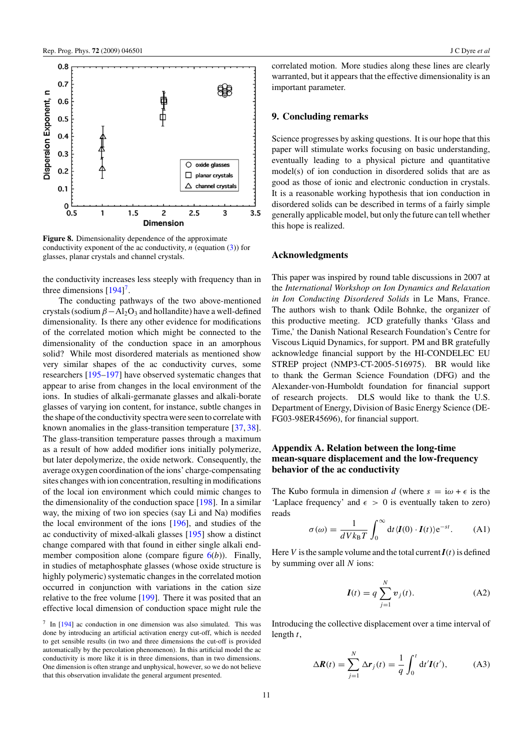<span id="page-10-0"></span>

**Figure 8.** Dimensionality dependence of the approximate conductivity exponent of the ac conductivity, *n* (equation [\(3\)](#page-2-0)) for glasses, planar crystals and channel crystals.

the conductivity increases less steeply with frequency than in three dimensions  $[194]$ <sup>7</sup>.

The conducting pathways of the two above-mentioned crystals (sodium  $\beta$  – Al<sub>2</sub>O<sub>3</sub> and hollandite) have a well-defined dimensionality. Is there any other evidence for modifications of the correlated motion which might be connected to the dimensionality of the conduction space in an amorphous solid? While most disordered materials as mentioned show very similar shapes of the ac conductivity curves, some researchers [\[195–197\]](#page-14-0) have observed systematic changes that appear to arise from changes in the local environment of the ions. In studies of alkali-germanate glasses and alkali-borate glasses of varying ion content, for instance, subtle changes in the shape of the conductivity spectra were seen to correlate with known anomalies in the glass-transition temperature [\[37,](#page-12-0) [38\]](#page-12-0). The glass-transition temperature passes through a maximum as a result of how added modifier ions initially polymerize, but later depolymerize, the oxide network. Consequently, the average oxygen coordination of the ions' charge-compensating sites changes with ion concentration, resulting in modifications of the local ion environment which could mimic changes to the dimensionality of the conduction space [\[198\]](#page-14-0). In a similar way, the mixing of two ion species (say Li and Na) modifies the local environment of the ions [\[196\]](#page-14-0), and studies of the ac conductivity of mixed-alkali glasses [\[195\]](#page-14-0) show a distinct change compared with that found in either single alkali endmember composition alone (compare figure [6\(](#page-7-0)*b*)). Finally, in studies of metaphosphate glasses (whose oxide structure is highly polymeric) systematic changes in the correlated motion occurred in conjunction with variations in the cation size relative to the free volume [\[199\]](#page-14-0). There it was posited that an effective local dimension of conduction space might rule the correlated motion. More studies along these lines are clearly warranted, but it appears that the effective dimensionality is an important parameter.

# **9. Concluding remarks**

Science progresses by asking questions. It is our hope that this paper will stimulate works focusing on basic understanding, eventually leading to a physical picture and quantitative model(s) of ion conduction in disordered solids that are as good as those of ionic and electronic conduction in crystals. It is a reasonable working hypothesis that ion conduction in disordered solids can be described in terms of a fairly simple generally applicable model, but only the future can tell whether this hope is realized.

#### **Acknowledgments**

This paper was inspired by round table discussions in 2007 at the *International Workshop on Ion Dynamics and Relaxation in Ion Conducting Disordered Solids* in Le Mans, France. The authors wish to thank Odile Bohnke, the organizer of this productive meeting. JCD gratefully thanks 'Glass and Time,' the Danish National Research Foundation's Centre for Viscous Liquid Dynamics, for support. PM and BR gratefully acknowledge financial support by the HI-CONDELEC EU STREP project (NMP3-CT-2005-516975). BR would like to thank the German Science Foundation (DFG) and the Alexander-von-Humboldt foundation for financial support of research projects. DLS would like to thank the U.S. Department of Energy, Division of Basic Energy Science (DE-FG03-98ER45696), for financial support.

# **Appendix A. Relation between the long-time mean-square displacement and the low-frequency behavior of the ac conductivity**

The Kubo formula in dimension *d* (where  $s = i\omega + \epsilon$  is the 'Laplace frequency' and  $\epsilon > 0$  is eventually taken to zero) reads

$$
\sigma(\omega) = \frac{1}{dV k_{\rm B}T} \int_0^\infty dt \langle \mathbf{I}(0) \cdot \mathbf{I}(t) \rangle e^{-st}.
$$
 (A1)

Here *V* is the sample volume and the total current  $I(t)$  is defined by summing over all *N* ions:

$$
I(t) = q \sum_{j=1}^{N} v_j(t).
$$
 (A2)

Introducing the collective displacement over a time interval of length *t*,

$$
\Delta \boldsymbol{R}(t) = \sum_{j=1}^{N} \Delta \boldsymbol{r}_j(t) = \frac{1}{q} \int_0^t dt' \boldsymbol{I}(t'), \quad (A3)
$$

<sup>7</sup> In [\[194\]](#page-14-0) ac conduction in one dimension was also simulated. This was done by introducing an artificial activation energy cut-off, which is needed to get sensible results (in two and three dimensions the cut-off is provided automatically by the percolation phenomenon). In this artificial model the ac conductivity is more like it is in three dimensions, than in two dimensions. One dimension is often strange and unphysical, however, so we do not believe that this observation invalidate the general argument presented.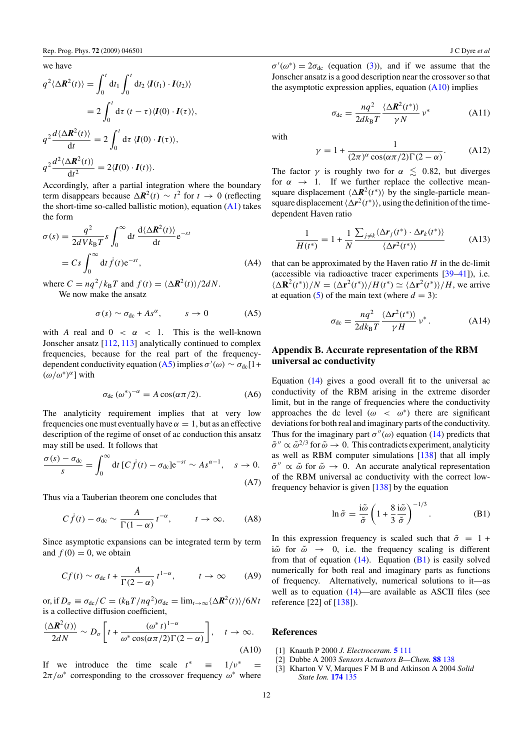<span id="page-11-0"></span>we have

$$
q^{2} \langle \Delta \mathbf{R}^{2}(t) \rangle = \int_{0}^{t} dt_{1} \int_{0}^{t} dt_{2} \langle I(t_{1}) \cdot I(t_{2}) \rangle
$$
  
\n
$$
= 2 \int_{0}^{t} d\tau (t - \tau) \langle I(0) \cdot I(\tau) \rangle,
$$
  
\n
$$
q^{2} \frac{d \langle \Delta \mathbf{R}^{2}(t) \rangle}{dt} = 2 \int_{0}^{t} d\tau \langle I(0) \cdot I(\tau) \rangle,
$$
  
\n
$$
q^{2} \frac{d^{2} \langle \Delta \mathbf{R}^{2}(t) \rangle}{dt^{2}} = 2 \langle I(0) \cdot I(t) \rangle.
$$

Accordingly, after a partial integration where the boundary term disappears because  $\Delta \mathbf{R}^2(t) \sim t^2$  for  $t \to 0$  (reflecting the short-time so-called ballistic motion), equation  $(A1)$  takes the form

$$
\sigma(s) = \frac{q^2}{2dVk_B T} s \int_0^\infty dt \, \frac{d\langle \Delta \mathbf{R}^2(t) \rangle}{dt} e^{-st}
$$

$$
= Cs \int_0^\infty dt \, \dot{f}(t) e^{-st}, \tag{A4}
$$

where  $C = nq^2/k_BT$  and  $f(t) = \langle \Delta \mathbf{R}^2(t) \rangle / 2dN$ . We now make the ansatz

$$
\sigma(s) \sim \sigma_{\rm dc} + As^{\alpha}, \qquad s \to 0 \tag{A5}
$$

with *A* real and  $0 < \alpha < 1$ . This is the well-known Jonscher ansatz [\[112,](#page-13-0) [113\]](#page-13-0) analytically continued to complex frequencies, because for the real part of the frequencydependent conductivity equation (A5) implies  $\sigma'(\omega) \sim \sigma_{\text{dc}}[1+\sigma]$  $(\omega/\omega^*)^{\alpha}$  with

$$
\sigma_{\rm dc} \left( \omega^* \right)^{-\alpha} = A \cos(\alpha \pi / 2). \tag{A6}
$$

The analyticity requirement implies that at very low frequencies one must eventually have  $\alpha = 1$ , but as an effective description of the regime of onset of ac conduction this ansatz may still be used. It follows that

$$
\frac{\sigma(s) - \sigma_{dc}}{s} = \int_0^\infty dt \, [C \dot{f}(t) - \sigma_{dc}] e^{-st} \sim As^{\alpha - 1}, \quad s \to 0.
$$
\n(A7)

Thus via a Tauberian theorem one concludes that

$$
C\dot{f}(t) - \sigma_{dc} \sim \frac{A}{\Gamma(1-\alpha)} t^{-\alpha}, \qquad t \to \infty.
$$
 (A8)

Since asymptotic expansions can be integrated term by term and  $f(0) = 0$ , we obtain

$$
Cf(t) \sim \sigma_{dc} t + \frac{A}{\Gamma(2-\alpha)} t^{1-\alpha}, \qquad t \to \infty \qquad (A9)
$$

 $\sigma$ , if  $D_{\sigma} \equiv \sigma_{\text{dc}}/C = (k_{\text{B}}T/nq^2)\sigma_{\text{dc}} = \lim_{t \to \infty} \langle \Delta \mathbf{R}^2(t) \rangle / 6Nt$ is a collective diffusion coefficient,

$$
\frac{\langle \Delta \mathbf{R}^2(t) \rangle}{2dN} \sim D_{\sigma} \left[ t + \frac{(\omega^* t)^{1-\alpha}}{\omega^* \cos(\alpha \pi/2) \Gamma(2-\alpha)} \right], \quad t \to \infty.
$$
\n(A10)

If we introduce the time scale  $t^* \equiv 1/v^*$  $2\pi/\omega^*$  corresponding to the crossover frequency  $\omega^*$  where

 $\sigma'(\omega^*) = 2\sigma_{dc}$  (equation [\(3\)](#page-2-0)), and if we assume that the Jonscher ansatz is a good description near the crossover so that the asymptotic expression applies, equation  $(A10)$  implies

$$
\sigma_{\rm dc} = \frac{nq^2}{2dk_{\rm B}T} \frac{\langle \Delta \mathbf{R}^2(t^*) \rangle}{\gamma N} \nu^* \tag{A11}
$$

with

$$
\gamma = 1 + \frac{1}{(2\pi)^{\alpha} \cos(\alpha \pi/2) \Gamma(2 - \alpha)}.
$$
 (A12)

The factor  $\gamma$  is roughly two for  $\alpha \leq 0.82$ , but diverges for  $\alpha \rightarrow 1$ . If we further replace the collective meansquare displacement  $\langle \Delta \mathbf{R}^2(t^*) \rangle$  by the single-particle meansquare displacement  $\langle \Delta r^2(t^*) \rangle$ , using the definition of the timedependent Haven ratio

$$
\frac{1}{H(t^*)} = 1 + \frac{1}{N} \frac{\sum_{j \neq k} \langle \Delta \mathbf{r}_j(t^*) \cdot \Delta \mathbf{r}_k(t^*) \rangle}{\langle \Delta \mathbf{r}^2(t^*) \rangle} \tag{A13}
$$

that can be approximated by the Haven ratio  $H$  in the dc-limit (accessible via radioactive tracer experiments [\[39–41\]](#page-12-0)), i.e.  $\langle \Delta \mathbf{R}^2(t^*) \rangle / N = \langle \Delta \mathbf{r}^2(t^*) \rangle / H(t^*) \simeq \langle \Delta \mathbf{r}^2(t^*) \rangle / H$ , we arrive at equation [\(5\)](#page-2-0) of the main text (where  $d = 3$ ):

$$
\sigma_{\rm dc} = \frac{nq^2}{2dk_{\rm B}T} \frac{\langle \Delta r^2(t^*) \rangle}{\gamma H} v^* \,. \tag{A14}
$$

# **Appendix B. Accurate representation of the RBM universal ac conductivity**

Equation [\(14\)](#page-6-0) gives a good overall fit to the universal ac conductivity of the RBM arising in the extreme disorder limit, but in the range of frequencies where the conductivity approaches the dc level  $(\omega < \omega^*)$  there are significant deviations for both real and imaginary parts of the conductivity. Thus for the imaginary part  $\sigma''(\omega)$  equation [\(14\)](#page-6-0) predicts that  $\tilde{\sigma}'' \propto \tilde{\omega}^{2/3}$  for  $\tilde{\omega} \to 0$ . This contradicts experiment, analyticity as well as RBM computer simulations [\[138\]](#page-13-0) that all imply  $\tilde{\sigma}'' \propto \tilde{\omega}$  for  $\tilde{\omega} \to 0$ . An accurate analytical representation of the RBM universal ac conductivity with the correct lowfrequency behavior is given [\[138\]](#page-13-0) by the equation

$$
\ln \tilde{\sigma} = \frac{\mathrm{i}\tilde{\omega}}{\tilde{\sigma}} \left( 1 + \frac{8}{3} \frac{\mathrm{i}\tilde{\omega}}{\tilde{\sigma}} \right)^{-1/3} . \tag{B1}
$$

In this expression frequency is scaled such that  $\tilde{\sigma} = 1 +$  $i\tilde{\omega}$  for  $\tilde{\omega} \rightarrow 0$ , i.e. the frequency scaling is different from that of equation  $(14)$ . Equation  $(B1)$  is easily solved numerically for both real and imaginary parts as functions of frequency. Alternatively, numerical solutions to it—as well as to equation [\(14\)](#page-6-0)—are available as ASCII files (see reference [22] of [\[138\]](#page-13-0)).

#### **References**

- [1] Knauth P 2000 *J. Electroceram.* **5** [111](http://dx.doi.org/10.1023/A:1009906101421)
- [2] Dubbe A 2003 *Sensors Actuators B—Chem.* **88** [138](http://dx.doi.org/10.1016/S0925-4005(02)00317-9)
- [3] Kharton V V, Marques F M B and Atkinson A 2004 *Solid State Ion.* **[174](http://dx.doi.org/10.1016/j.ssi.2004.06.015)** 135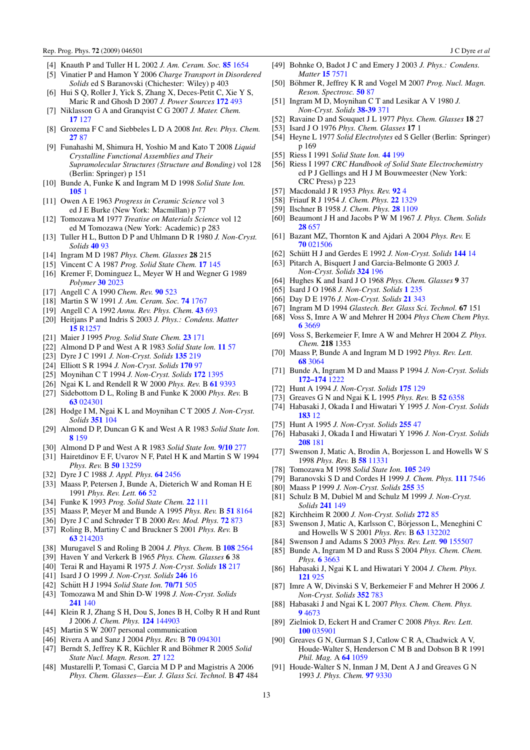- <span id="page-12-0"></span>[4] Knauth P and Tuller H L 2002 *J. Am. Ceram. Soc.* **85** [1654](http://dx.doi.org/10.1111/j.1151-2916.2002.tb00334.x )
- [5] Vinatier P and Hamon Y 2006 *Charge Transport in Disordered Solids* ed S Baranovski (Chichester: Wiley) p 403
- [6] Hui S Q, Roller J, Yick S, Zhang X, Deces-Petit C, Xie Y S, Maric R and Ghosh D 2007 *J. Power Sources* **[172](http://dx.doi.org/10.1016/j.jpowsour.2007.07.071)** 493
- [7] Niklasson G A and Granqvist C G 2007 *J. Mater. Chem.* **17** [127](http://dx.doi.org/10.1039/b612174h)
- [8] Grozema F C and SiebbelesLDA 2008 *Int. Rev. Phys. Chem.* **[27](http://dx.doi.org/10.1080/01442350701782776)** 87
- [9] Funahashi M, Shimura H, Yoshio M and Kato T 2008 *Liquid Crystalline Functional Assemblies and Their Supramolecular Structures (Structure and Bonding)* vol 128 (Berlin: Springer) p 151
- [10] Bunde A, Funke K and Ingram M D 1998 *Solid State Ion.* **[105](http://dx.doi.org/10.1016/S0167-2738(97)00444-X)** 1
- [11] Owen A E 1963 *Progress in Ceramic Science* vol 3 ed J E Burke (New York: Macmillan) p 77
- [12] Tomozawa M 1977 *Treatise on Materials Science* vol 12 ed M Tomozawa (New York: Academic) p 283
- [13] Tuller H L, Button D P and Uhlmann D R 1980 *J. Non-Cryst. Solids* **[40](http://dx.doi.org/10.1016/0022-3093(80)90096-4)** 93
- [14] Ingram M D 1987 *Phys. Chem. Glasses* **28** 215
- [15] Vincent C A 1987 *Prog. Solid State Chem.* **17** [145](http://dx.doi.org/10.1016/0079-6786(87)90003-3)
- [16] Kremer F, Dominguez L, Meyer W H and Wegner G 1989 *Polymer* **30** [2023](http://dx.doi.org/10.1016/0032-3861(89)90289-9)
- [17] Angell C A 1990 *Chem. Rev.* **90** [523](http://dx.doi.org/10.1021/cr00101a006)
- [18] Martin S W 1991 *J. Am. Ceram. Soc.* **74** [1767](http://dx.doi.org/10.1111/j.1151-2916.1991.tb07788.x)
- [19] Angell C A 1992 *Annu. Rev. Phys. Chem.* **43** [693](http://dx.doi.org/10.1146/annurev.pc.43.100192.003401)
- [20] Heitjans P and Indris S 2003 *J. Phys.: Condens. Matter* **15** [R1257](http://dx.doi.org/10.1088/0953-8984/15/30/202)
- [21] Maier J 1995 *Prog. Solid State Chem.* **23** [171](http://dx.doi.org/10.1016/0079-6786(95)00004-E)
- [22] Almond D P and West A R 1983 *Solid State lon.* **[11](http://dx.doi.org/10.1016/0167-2738(83)90063-2 )** 57
- [23] Dyre J C 1991 *J. Non-Cryst. Solids* **[135](http://dx.doi.org/10.1016/0022-3093(91)90423-4)** 219
- [24] Elliott S R 1994 *J. Non-Cryst. Solids* **[170](http://dx.doi.org/10.1016/0022-3093(94)90108-2)** 97
- [25] Moynihan C T 1994 *J. Non-Cryst. Solids* **172** [1395](http://dx.doi.org/10.1016/0022-3093(94)90668-8)
- [26] Ngai K L and Rendell R W 2000 *Phys. Rev.* B **61** [9393](http://dx.doi.org/10.1103/PhysRevB.61.9393)
- [27] Sidebottom D L, Roling B and Funke K 2000 *Phys. Rev.* B **63** [024301](http://dx.doi.org/10.1103/PhysRevB.63.024301)
- [28] Hodge I M, Ngai K L and Moynihan C T 2005 *J. Non-Cryst. Solids* **[351](http://dx.doi.org/10.1016/j.jnoncrysol.2004.07.089)** 104
- [29] Almond D P, Duncan G K and West A R 1983 *Solid State Ion.* **8** [159](http://dx.doi.org/10.1016/0167-2738(83)90079-6)
- [30] Almond D P and West A R 1983 *Solid State Ion.* **[9/10](http://dx.doi.org/10.1016/0167-2738(83)90247-3)** 277
- [31] Hairetdinov E F, Uvarov N F, Patel H K and Martin S W 1994 *Phys. Rev.* B **50** [13259](http://dx.doi.org/10.1103/PhysRevB.50.13259)
- [32] Dyre J C 1988 *J. Appl. Phys.* **64** [2456](http://dx.doi.org/10.1063/1.341681)
- [33] Maass P, Petersen J, Bunde A, Dieterich W and Roman H E 1991 *Phys. Rev. Lett.* **[66](http://dx.doi.org/10.1103/PhysRevLett.66.52)** 52
- [34] Funke K 1993 *Prog. Solid State Chem.* **22** [111](http://dx.doi.org/10.1016/0079-6786(93)90002-9)
- [35] Maass P, Meyer M and Bunde A 1995 *Phys. Rev.* B **51** [8164](http://dx.doi.org/10.1103/PhysRevB.51.8164)
- [36] Dyre J C and Schrøder T B 2000 *Rev. Mod. Phys.* **72** [873](http://dx.doi.org/10.1103/RevModPhys.72.873)
- [37] Roling B, Martiny C and Bruckner S 2001 *Phys. Rev.* B **63** [214203](http://dx.doi.org/10.1103/PhysRevB.63.214203)
- [38] Murugavel S and Roling B 2004 *J. Phys. Chem.* B **108** [2564](http://dx.doi.org/10.1021/jp036226g)
- [39] Haven Y and Verkerk B 1965 *Phys. Chem. Glasses* **6** 38
- [40] Terai R and Hayami R 1975 *J. Non-Cryst. Solids* **18** [217](http://dx.doi.org/10.1016/0022-3093(75)90022-8)
- [41] Isard J O 1999 *J. Non-Cryst. Solids* **[246](http://dx.doi.org/10.1016/S0022-3093(99)00036-8)** 16
- [42] Schütt H J 1994 Solid State Ion. **[70/71](http://dx.doi.org/10.1016/0167-2738(94)90362-X)** 505
- [43] Tomozawa M and Shin D-W 1998 *J. Non-Cryst. Solids* **[241](http://dx.doi.org/10.1016/S0022-3093(98)00760-1)** 140
- [44] Klein R J, Zhang S H, Dou S, Jones B H, Colby R H and Runt J 2006 *J. Chem. Phys.* **124** [144903](http://dx.doi.org/10.1063/1.2186638)
- [45] Martin S W 2007 personal communication
- [46] Rivera A and Sanz J 2004 *Phys. Rev.* B **70** [094301](http://dx.doi.org/10.1103/PhysRevB.70.094301)
- [47] Berndt S, Jeffrey K R, Küchler R and Böhmer R 2005 Solid *State Nucl. Magn. Reson.* **27** [122](http://dx.doi.org/10.1016/j.ssnmr.2004.06.006)
- [48] Mustarelli P, Tomasi C, Garcia M D P and Magistris A 2006 *Phys. Chem. Glasses—Eur. J. Glass Sci. Technol.* B **47** 484
- [49] Bohnke O, Badot J C and Emery J 2003 *J. Phys.: Condens. Matter* **15** [7571](http://dx.doi.org/10.1088/0953-8984/15/44/010)
- [50] Böhmer R, Jeffrey K R and Vogel M 2007 *Prog. Nucl. Magn. Reson. Spectrosc.* **[50](http://dx.doi.org/10.1016/j.pnmrs.2006.12.001)** 87
- [51] Ingram M D, Moynihan C T and Lesikar A V 1980 *J. Non-Cryst. Solids* **[38-39](http://dx.doi.org/10.1016/0022-3093(80)90447-0)** 371
- [52] Ravaine D and Souquet J L 1977 *Phys. Chem. Glasses* **18** 27
- [53] Isard J O 1976 *Phys. Chem. Glasses* **17** 1
- [54] Heyne L 1977 *Solid Electrolytes* ed S Geller (Berlin: Springer) p 169
- [55] Riess I 1991 *Solid State Ion.* **44** [199](http://dx.doi.org/10.1016/0167-2738(91)90008-Y)
- [56] Riess I 1997 *CRC Handbook of Solid State Electrochemistry* ed P J Gellings and H J M Bouwmeester (New York: CRC Press) p 223
- [57] Macdonald J R 1953 *Phys. Rev.* **[92](http://dx.doi.org/10.1103/PhysRev.92.4)** 4
- [58] Friauf R J 1954 *J. Chem. Phys.* **22** [1329](http://dx.doi.org/10.1063/1.1740392)
- [59] Ilschner B 1958 *J. Chem. Phys.* **28** [1109](http://dx.doi.org/10.1063/1.1744352)
- [60] Beaumont J H and JacobsPWM 1967 *J. Phys. Chem. Solids* **28** [657](http://dx.doi.org/10.1016/0022-3697(67)90097-2)
- [61] Bazant MZ, Thornton K and Ajdari A 2004 *Phys. Rev.* E **70** [021506](http://dx.doi.org/10.1103/PhysRevE.70.021506)
- [62] Schütt H J and Gerdes E 1992 J. Non-Cryst. Solids [144](http://dx.doi.org/10.1016/S0022-3093(05)80378-3) 14
- [63] Pitarch A, Bisquert J and Garcia-Belmonte G 2003 *J. Non-Cryst. Solids* **[324](http://dx.doi.org/10.1016/S0022-3093(03)00262-X)** 196
- [64] Hughes K and Isard J O 1968 *Phys. Chem. Glasses* **9** 37
- [65] Isard J O 1968 *J. Non-Cryst. Solids* **1** [235](http://dx.doi.org/10.1016/0022-3093(69)90003-9)
- [66] Day D E 1976 *J. Non-Cryst. Solids* **21** [343](http://dx.doi.org/10.1016/0022-3093(76)90026-0)
- [67] Ingram M D 1994 *Glastech. Ber. Glass Sci. Technol.* **67** 151
- [68] Voss S, Imre A W and Mehrer H 2004 *Phys Chem Chem Phys.* **6** [3669](http://dx.doi.org/10.1039/b315772e)
- [69] Voss S, Berkemeier F, Imre A W and Mehrer H 2004 *Z. Phys. Chem.* **218** 1353
- [70] Maass P, Bunde A and Ingram M D 1992 *Phys. Rev. Lett.* **68** [3064](http://dx.doi.org/10.1103/PhysRevLett.68.3064)
- [71] Bunde A, Ingram M D and Maass P 1994 *J. Non-Cryst. Solids* **[172–174](http://dx.doi.org/10.1016/0022-3093(94)90647-5)** 1222
- [72] Hunt A 1994 *J. Non-Cryst. Solids* **[175](http://dx.doi.org/10.1016/0022-3093(94)90004-3)** 129
- [73] Greaves G N and Ngai K L 1995 *Phys. Rev.* B **52** [6358](http://dx.doi.org/10.1103/PhysRevB.52.6358)
- [74] Habasaki J, Okada I and Hiwatari Y 1995 *J. Non-Cryst. Solids* **[183](http://dx.doi.org/10.1016/0022-3093(94)00529-X)** 12
- [75] Hunt A 1995 *J. Non-Cryst. Solids* **[255](http://dx.doi.org/10.1016/S0022-3093(99)00423-8)** 47
- [76] Habasaki J, Okada I and Hiwatari Y 1996 *J. Non-Cryst. Solids* **[208](http://dx.doi.org/10.1016/S0022-3093(96)00421-8)** 181
- [77] Swenson J, Matic A, Brodin A, Borjesson L and Howells W S 1998 *Phys. Rev.* B **58** [11331](http://dx.doi.org/10.1103/PhysRevB.58.11331)
- [78] Tomozawa M 1998 *Solid State Ion.* **[105](http://dx.doi.org/10.1016/S0167-2738(97)00472-4)** 249
- [79] Baranovski S D and Cordes H 1999 *J. Chem. Phys.* **111** [7546](http://dx.doi.org/10.1063/1.480081)
- [80] Maass P 1999 *J. Non-Cryst. Solids* **[255](http://dx.doi.org/10.1016/S0022-3093(99)00422-6)** 35
- [81] Schulz B M, Dubiel M and Schulz M 1999 *J. Non-Cryst. Solids* **[241](http://dx.doi.org/10.1016/S0022-3093(98)00761-3)** 149
- [82] Kirchheim R 2000 *J. Non-Cryst. Solids* **[272](http://dx.doi.org/10.1016/S0022-3093(00)00165-4)** 85
- [83] Swenson J, Matic A, Karlsson C, Börjesson L, Meneghini C and Howells W S 2001 *Phys. Rev.* B **63** [132202](http://dx.doi.org/10.1103/PhysRevB.63.132202)
- [84] Swenson J and Adams S 2003 *Phys. Rev. Lett.* **90** [155507](http://dx.doi.org/10.1103/PhysRevLett.90.155507)
- [85] Bunde A, Ingram M D and Russ S 2004 *Phys. Chem. Chem. Phys.* **6** [3663](http://dx.doi.org/10.1039/b316738k)
- [86] Habasaki J, Ngai K L and Hiwatari Y 2004 *J. Chem. Phys.* **[121](http://dx.doi.org/10.1063/1.1759614)** 925
- [87] Imre A W, Divinski S V, Berkemeier F and Mehrer H 2006 *J. Non-Cryst. Solids* **[352](http://dx.doi.org/10.1016/j.jnoncrysol.2006.02.008)** 783
- [88] Habasaki J and Ngai K L 2007 *Phys. Chem. Chem. Phys.* **9** [4673](http://dx.doi.org/10.1039/b704014h)
- [89] Zielniok D, Eckert H and Cramer C 2008 *Phys. Rev. Lett.* **100** [035901](http://dx.doi.org/10.1103/PhysRevLett.100.035901)
- [90] Greaves G N, Gurman S J, Catlow C R A, Chadwick A V, Houde-Walter S, Henderson C M B and Dobson B R 1991 *Phil. Mag.* A **64** [1059](http://dx.doi.org/10.1080/01418619108204878)
- [91] Houde-Walter S N, Inman J M, Dent A J and Greaves G N 1993 *J. Phys. Chem.* **97** [9330](http://dx.doi.org/10.1021/j100139a013)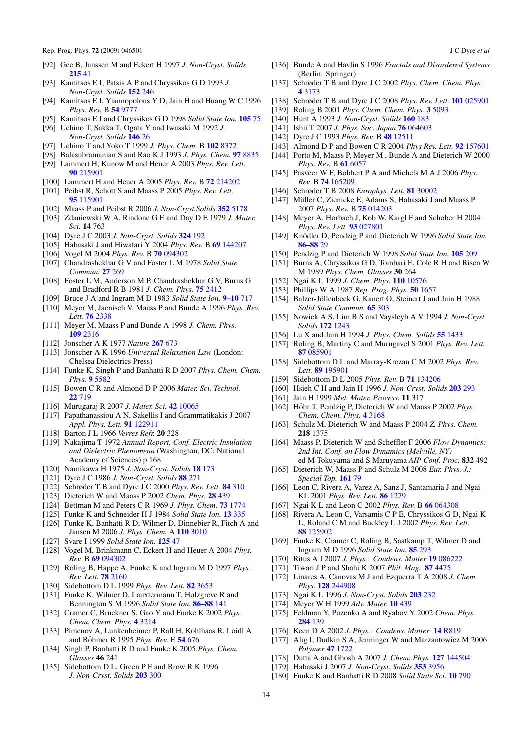- <span id="page-13-0"></span>[92] Gee B, Janssen M and Eckert H 1997 *J. Non-Cryst. Solids* **[215](http://dx.doi.org/10.1016/S0022-3093(97)00037-9)** 41
- [93] Kamitsos E I, Patsis A P and Chryssikos G D 1993 *J. Non-Cryst. Solids* **[152](http://dx.doi.org/10.1016/0022-3093(93)90258-Y)** 246
- [94] Kamitsos E I, Yiannopolous Y D, Jain H and Huang W C 1996 *Phys. Rev.* B **54** [9777](http://dx.doi.org/10.1103/PhysRevB.54.9775)
- [95] Kamitsos E I and Chryssikos G D 1998 *Solid State Ion.* **[105](http://dx.doi.org/10.1016/S0167-2738(97)00451-7)** 75 [96] Uchino T, Sakka T, Ogata Y and Iwasaki M 1992 *J.*
- *Non-Cryst. Solids* **[146](http://dx.doi.org/10.1016/S0022-3093(05)80473-9)** 26
- [97] Uchino T and Yoko T 1999 *J. Phys. Chem.* B **102** [8372](http://dx.doi.org/10.1021/jp981564g)
- [98] Balasubramanian S and Rao K J 1993 *J. Phys. Chem.* **97** [8835](http://dx.doi.org/10.1021/j100137a001) [99] Lammert H, Kunow M and Heuer A 2003 *Phys. Rev. Lett.*
- **90** [215901](http://dx.doi.org/10.1103/PhysRevLett.90.215901)
- [100] Lammert H and Heuer A 2005 *Phys. Rev.* B **72** [214202](http://dx.doi.org/10.1103/PhysRevB.72.214202)
- [101] Peibst R, Schott S and Maass P 2005 *Phys. Rev. Lett.* **95** [115901](http://dx.doi.org/10.1103/PhysRevLett.95.115901)
- [102] Maass P and Peibst R 2006 *J. Non-Cryst.Solids* **352** [5178](http://dx.doi.org/10.1016/j.jnoncrysol.2005.12.061)
- [103] Zdaniewski W A, Rindone G E and Day D E 1979 *J. Mater. Sci.* **14** 763
- [104] Dyre J C 2003 *J. Non-Cryst. Solids* **[324](http://dx.doi.org/10.1016/S0022-3093(03)00237-0)** 192
- [105] Habasaki J and Hiwatari Y 2004 *Phys. Rev.* B **69** [144207](http://dx.doi.org/10.1103/PhysRevB.69.144207)
- [106] Vogel M 2004 *Phys. Rev.* B **70** [094302](http://dx.doi.org/10.1103/PhysRevB.70.094302)
- [107] Chandrashekhar G V and Foster L M 1978 *Solid State Commun.* **27** [269](http://dx.doi.org/10.1016/0038-1098(78)90033-9)
- [108] Foster L M, Anderson M P, Chandrashekhar G V, Burns G and Bradford R B 1981 *J. Chem. Phys.* **75** [2412](http://dx.doi.org/10.1063/1.442305)
- [109] Bruce J A and Ingram M D 1983 *Solid State Ion.* **[9–10](http://dx.doi.org/10.1016/0167-2738(83)90320-X)** 717
- [110] Meyer M, Jaenisch V, Maass P and Bunde A 1996 *Phys. Rev. Lett.* **76** [2338](http://dx.doi.org/10.1103/PhysRevLett.76.2338)
- [111] Meyer M, Maass P and Bunde A 1998 *J. Chem. Phys.* **109** [2316](http://dx.doi.org/10.1063/1.476799)
- [112] Jonscher A K 1977 *Nature* **[267](http://dx.doi.org/10.1038/267673a0)** 673
- [113] Jonscher A K 1996 *Universal Relaxation Law* (London: Chelsea Dielectrics Press)
- [114] Funke K, Singh P and Banhatti R D 2007 *Phys. Chem. Chem. Phys.* **9** [5582](http://dx.doi.org/10.1039/b618788a)
- [115] Bowen C R and Almond D P 2006 *Mater. Sci. Technol.* **22** [719](http://dx.doi.org/10.1179/174328406X101328)
- [116] Murugaraj R 2007 *J. Mater. Sci.* **42** [10065](http://dx.doi.org/10.1007/s10853-007-2052-5)
- [117] Papathanassiou A N, Sakellis I and Grammatikakis J 2007 *Appl. Phys. Lett.* **91** [122911](http://dx.doi.org/10.1063/1.2779255)
- [118] Barton J L 1966 *Verres Refr.* **20** 328
- [119] Nakajima T 1972 *Annual Report, Conf. Electric Insulation and Dielectric Phenomena* (Washington, DC: National Academy of Sciences) p 168
- [120] Namikawa H 1975 *J. Non-Cryst. Solids* **18** [173](http://dx.doi.org/10.1016/0022-3093(75)90019-8)
- [121] Dyre J C 1986 *J. Non-Cryst. Solids* **88** [271](http://dx.doi.org/10.1016/S0022-3093(86)80030-8)
- [122] Schrøder T B and Dyre J C 2000 *Phys. Rev. Lett.* **84** [310](http://dx.doi.org/10.1103/PhysRevLett.84.310)
- [123] Dieterich W and Maass P 2002 *Chem. Phys.* **28** [439](http://dx.doi.org/10.1016/S0301-0104(02)00673-0)
- [124] Bettman M and Peters C R 1969 *J. Phys. Chem.* **73** [1774](http://dx.doi.org/10.1021/j100726a024)
- [125] Funke K and Schneider H J 1984 *Solid State Ion.* **13** [335](http://dx.doi.org/10.1016/0167-2738(84)90077-8)
- [126] Funke K, Banhatti R D, Wilmer D, Dinnebier R, Fitch A and Jansen M 2006 *J. Phys. Chem.* A **110** [3010](http://dx.doi.org/10.1021/jp054807v)
- [127] Svare I 1999 *Solid State Ion.* **[125](http://dx.doi.org/10.1016/S0167-2738(99)00157-5)** 47
- [128] Vogel M, Brinkmann C, Eckert H and Heuer A 2004 *Phys. Rev.* B **69** [094302](http://dx.doi.org/10.1103/PhysRevB.69.094302)
- [129] Roling B, Happe A, Funke K and Ingram M D 1997 *Phys. Rev. Lett.* **78** [2160](http://dx.doi.org/10.1103/PhysRevLett.78.2160)
- [130] Sidebottom D L 1999 *Phys. Rev. Lett.* **82** [3653](http://dx.doi.org/10.1103/PhysRevLett.82.3653)
- [131] Funke K, Wilmer D, Lauxtermann T, Holzgreve R and Bennington S M 1996 *Solid State Ion.* **[86–88](http://dx.doi.org/10.1016/0167-2738(96)00111-7)** 141
- [132] Cramer C, Bruckner S, Gao Y and Funke K 2002 *Phys. Chem. Chem. Phys.* **4** [3214](http://dx.doi.org/10.1039/b200610n)
- [133] Pimenov A, Lunkenheimer P, Rall H, Kohlhaas R, Loidl A and Böhmer R 1995 Phys. Rev. E 54 [676](http://dx.doi.org/10.1103/PhysRevE.54.676)
- [134] Singh P, Banhatti R D and Funke K 2005 *Phys. Chem. Glasses* **46** 241
- [135] Sidebottom D L, Green P F and Brow R K 1996 *J. Non-Cryst. Solids* **[203](http://dx.doi.org/10.1016/0022-3093(96)00362-6)** 300
- [136] Bunde A and Havlin S 1996 *Fractals and Disordered Systems* (Berlin: Springer)
- [137] Schrøder T B and Dyre J C 2002 *Phys. Chem. Chem. Phys.* **4** [3173](http://dx.doi.org/10.1039/b111361e)
- [138] Schrøder T B and Dyre J C 2008 *Phys. Rev. Lett.* **101** [025901](http://dx.doi.org/10.1103/PhysRevLett.101.025901)
- [139] Roling B 2001 *Phys. Chem. Chem. Phys.* **3** [5093](http://dx.doi.org/10.1039/b105094j)
- [140] Hunt A 1993 *J. Non-Cryst. Solids* **[160](http://dx.doi.org/10.1016/0022-3093(93)91265-5)** 183
- [141] Ishii T 2007 *J. Phys. Soc. Japan* **76** [064603](http://dx.doi.org/10.1143/JPSJ.76.064603)
- [142] Dyre J C 1993 *Phys. Rev.* B **48** [12511](http://dx.doi.org/10.1103/PhysRevB.48.12511)
- [143] Almond D P and Bowen C R 2004 *Phys Rev. Lett.* **92** [157601](http://dx.doi.org/10.1103/PhysRevLett.92.157601)
- [144] Porto M, Maass P, Meyer M, Bunde A and Dieterich W 2000 *Phys. Rev.* B **61** [6057](http://dx.doi.org/10.1103/PhysRevB.61.6057)
- [145] Pasveer W F, Bobbert P A and Michels M A J 2006 *Phys. Rev.* B **74** [165209](http://dx.doi.org/10.1103/PhysRevB.74.165209)
- [146] Schrøder T B 2008 *Europhys. Lett.* **81** [30002](http://dx.doi.org/10.1209/0295-5075/81/30002)
- [147] Müller C, Zienicke E, Adams S, Habasaki J and Maass P 2007 *Phys. Rev.* B **75** [014203](http://dx.doi.org/10.1103/PhysRevB.75.014203)
- [148] Meyer A, Horbach J, Kob W, Kargl F and Schober H 2004 *Phys. Rev. Lett.* **93** [027801](http://dx.doi.org/10.1103/PhysRevLett.93.027801)
- [149] Knödler D, Pendzig P and Dieterich W 1996 Solid State Ion. **[86–88](http://dx.doi.org/10.1016/0167-2738(96)00089-6)** 29
- [150] Pendzig P and Dieterich W 1998 *Solid State Ion.* **[105](http://dx.doi.org/10.1016/S0167-2738(97)00466-9)** 209
- [151] Burns A, Chryssikos G D, Tombari E, Cole R H and Risen W M 1989 *Phys. Chem. Glasses* **30** 264
- [152] Ngai K L 1999 *J. Chem. Phys.* **110** [10576](http://dx.doi.org/10.1063/1.478989)
- [153] Phillips W A 1987 *Rep. Prog. Phys.* **50** [1657](http://dx.doi.org/10.1088/0034-4885/50/12/003)
- [154] Balzer-Jöllenbeck G, Kanert O, Steinert J and Jain H 1988 *Solid State Commun.* **65** [303](http://dx.doi.org/10.1016/0038-1098(88)90703-X)
- [155] Nowick A S, Lim B S and Vaysleyb A V 1994 *J. Non-Cryst. Solids* **172** [1243](http://dx.doi.org/10.1016/0022-3093(94)90649-1)
- [156] Lu X and Jain H 1994 *J. Phys. Chem. Solids* **55** [1433](http://dx.doi.org/10.1016/0022-3697(94)90569-X)
- [157] Roling B, Martiny C and Murugavel S 2001 *Phys. Rev. Lett.* **87** [085901](http://dx.doi.org/10.1103/PhysRevLett.87.085901)
- [158] Sidebottom D L and Marray-Krezan C M 2002 *Phys. Rev. Lett.* **89** [195901](http://dx.doi.org/10.1103/PhysRevLett.89.195901)
- [159] Sidebottom D L 2005 *Phys. Rev.* B **71** [134206](http://dx.doi.org/10.1103/PhysRevB.71.134206)
- [160] Hsieh C H and Jain H 1996 *J. Non-Cryst. Solids* **[203](http://dx.doi.org/10.1016/0022-3093(96)00361-4)** 293
- [161] Jain H 1999 *Met. Mater. Process.* **11** 317
- [162] Höhr T, Pendzig P, Dieterich W and Maass P 2002 Phys. *Chem. Chem. Phys.* **4** [3168](http://dx.doi.org/10.1039/b110484e)
- [163] Schulz M, Dieterich W and Maass P 2004 *Z. Phys. Chem.* **218** 1375
- [164] Maass P, Dieterich W and Scheffler F 2006 *Flow Dynamics: 2nd Int. Conf. on Flow Dynamics (Melville, NY)* ed M Tokuyama and S Maruyama *AIP Conf. Proc.* **832** 492
- [165] Dieterich W, Maass P and Schulz M 2008 *Eur. Phys. J.: Special Top.* **[161](http://dx.doi.org/10.1140/epjst/e2008-00752-5)** 79
- [166] Leon C, Rivera A, Varez A, Sanz J, Santamaria J and Ngai KL 2001 *Phys. Rev. Lett.* **86** [1279](http://dx.doi.org/10.1103/PhysRevLett.86.1279)
- [167] Ngai K L and Leon C 2002 *Phys. Rev.* B **66** [064308](http://dx.doi.org/10.1103/PhysRevB.66.064308)
- [168] Rivera A, Leon C, Varsamis C P E, Chryssikos G D, Ngai K L, Roland C M and Buckley L J 2002 *Phys. Rev. Lett.* **88** [125902](http://dx.doi.org/10.1103/PhysRevLett.88.125902)
- [169] Funke K, Cramer C, Roling B, Saatkamp T, Wilmer D and Ingram M D 1996 *Solid State Ion.* **85** [293](http://dx.doi.org/10.1016/0167-2738(96)00073-2)
- [170] Ritus A I 2007 *J. Phys.: Condens. Matter* **19** [086222](http://dx.doi.org/10.1088/0953-8984/19/8/086222)
- [171] Tiwari J P and Shahi K 2007 *Phil. Mag.* **87** [4475](http://dx.doi.org/10.1080/14786430701551913)
- [172] Linares A, Canovas M J and Ezquerra T A 2008 *J. Chem. Phys.* **128** [244908](http://dx.doi.org/10.1063/1.2946694)
- [173] Ngai K L 1996 *J. Non-Cryst. Solids* **[203](http://dx.doi.org/10.1016/0022-3093(96)00485-1)** 232
- [174] Meyer W H 1999 *Adv. Mater.* **10** [439](http://dx.doi.org/10.1002/(SICI)1521-4095(199804)10:6<439::AID-ADMA439>3.0.CO;2-I)
- [175] Feldman Y, Puzenko A and Ryabov Y 2002 *Chem. Phys.* **[284](http://dx.doi.org/10.1016/S0301-0104(02)00545-1)** 139
- [176] Keen D A 2002 *J. Phys.: Condens. Matter* **14** [R819](http://dx.doi.org/10.1088/0953-8984/14/32/201)
- [177] Alig I, Dudkin S A, Jenninger W and Marzantowicz M 2006 *Polymer* **47** [1722](http://dx.doi.org/10.1016/j.polymer.2005.12.026)
- [178] Dutta A and Ghosh A 2007 *J. Chem. Phys.* **127** [144504](http://dx.doi.org/10.1063/1.2789431)
- [179] Habasaki J 2007 *J. Non-Cryst. Solids* **353** [3956](http://dx.doi.org/10.1016/j.jnoncrysol.2007.05.181)
- [180] Funke K and Banhatti R D 2008 *Solid State Sci.* **10** [790](http://dx.doi.org/10.1016/j.solidstatesciences.2007.05.014)